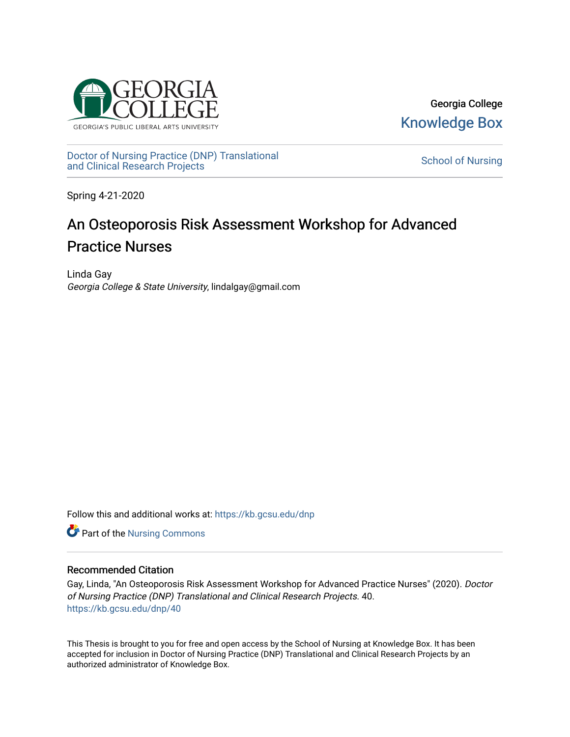

Georgia College [Knowledge Box](https://kb.gcsu.edu/) 

[Doctor of Nursing Practice \(DNP\) Translational](https://kb.gcsu.edu/dnp)  Doctor of Nursing Practice (DNP) Translational control of Nursing [School of Nursing](https://kb.gcsu.edu/snc) and Clinical Research Projects

Spring 4-21-2020

# An Osteoporosis Risk Assessment Workshop for Advanced Practice Nurses

Linda Gay Georgia College & State University, lindalgay@gmail.com

Follow this and additional works at: [https://kb.gcsu.edu/dnp](https://kb.gcsu.edu/dnp?utm_source=kb.gcsu.edu%2Fdnp%2F40&utm_medium=PDF&utm_campaign=PDFCoverPages) 

Part of the [Nursing Commons](http://network.bepress.com/hgg/discipline/718?utm_source=kb.gcsu.edu%2Fdnp%2F40&utm_medium=PDF&utm_campaign=PDFCoverPages) 

## Recommended Citation

Gay, Linda, "An Osteoporosis Risk Assessment Workshop for Advanced Practice Nurses" (2020). Doctor of Nursing Practice (DNP) Translational and Clinical Research Projects. 40. [https://kb.gcsu.edu/dnp/40](https://kb.gcsu.edu/dnp/40?utm_source=kb.gcsu.edu%2Fdnp%2F40&utm_medium=PDF&utm_campaign=PDFCoverPages) 

This Thesis is brought to you for free and open access by the School of Nursing at Knowledge Box. It has been accepted for inclusion in Doctor of Nursing Practice (DNP) Translational and Clinical Research Projects by an authorized administrator of Knowledge Box.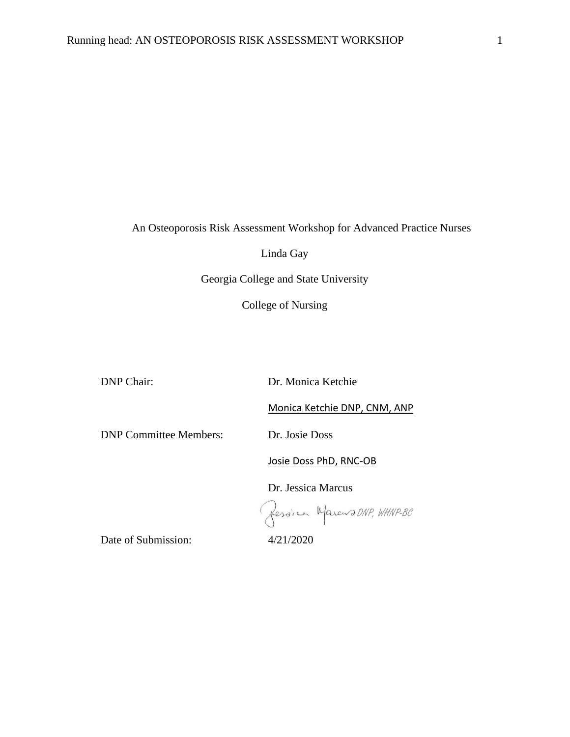An Osteoporosis Risk Assessment Workshop for Advanced Practice Nurses

Linda Gay

Georgia College and State University

College of Nursing

DNP Chair: Dr. Monica Ketchie

Monica Ketchie DNP, CNM, ANP

DNP Committee Members: Dr. Josie Doss

Josie Doss PhD, RNC-OB

Dr. Jessica Marcus

fession Marcus DNP, WHNP-BC

Date of Submission:  $4/21/2020$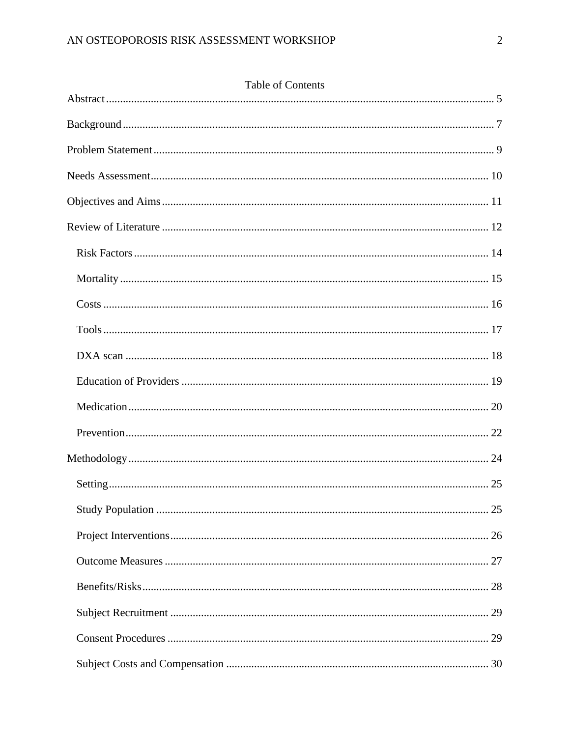| <b>Table of Contents</b> |  |
|--------------------------|--|
|                          |  |
|                          |  |
|                          |  |
|                          |  |
|                          |  |
|                          |  |
|                          |  |
|                          |  |
|                          |  |
|                          |  |
|                          |  |
|                          |  |
|                          |  |
|                          |  |
|                          |  |
|                          |  |
|                          |  |
|                          |  |
|                          |  |
|                          |  |
|                          |  |
|                          |  |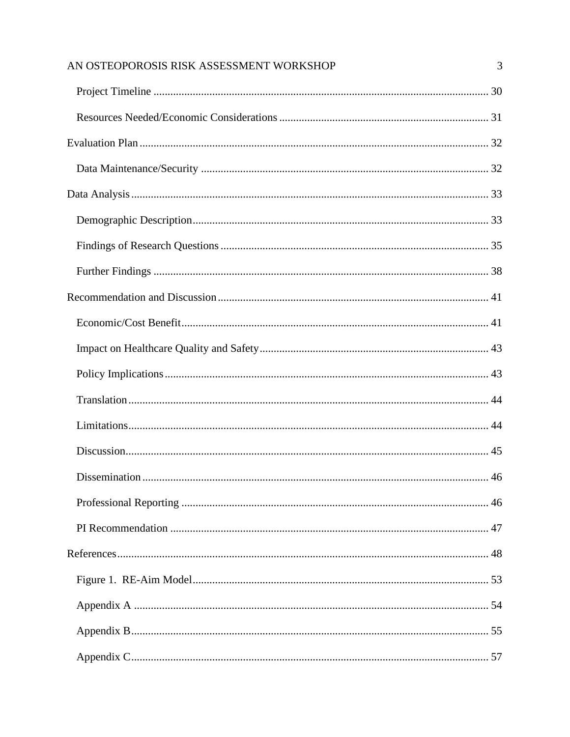| AN OSTEOPOROSIS RISK ASSESSMENT WORKSHOP | 3 |
|------------------------------------------|---|
|                                          |   |
|                                          |   |
|                                          |   |
|                                          |   |
|                                          |   |
|                                          |   |
|                                          |   |
|                                          |   |
|                                          |   |
|                                          |   |
|                                          |   |
|                                          |   |
|                                          |   |
|                                          |   |
|                                          |   |
|                                          |   |
|                                          |   |
|                                          |   |
|                                          |   |
|                                          |   |
|                                          |   |
|                                          |   |
|                                          |   |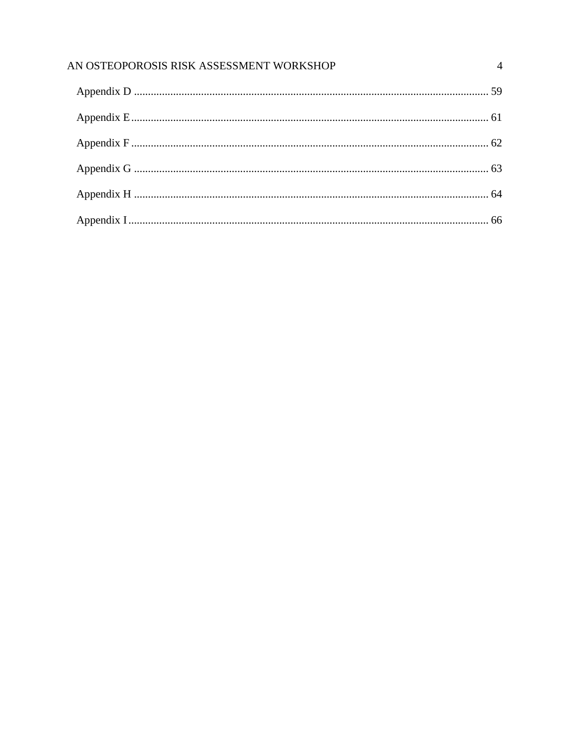| AN OSTEOPOROSIS RISK ASSESSMENT WORKSHOP |  |
|------------------------------------------|--|
|                                          |  |
|                                          |  |
|                                          |  |
|                                          |  |
|                                          |  |
|                                          |  |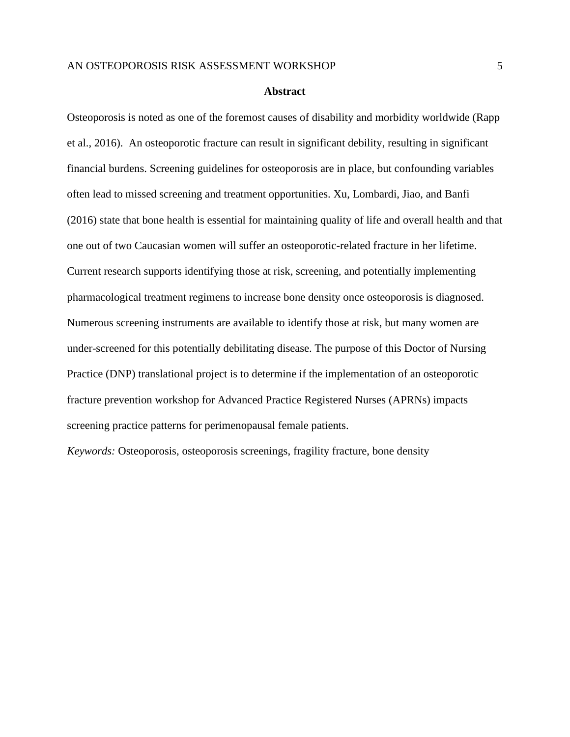## **Abstract**

<span id="page-5-0"></span>Osteoporosis is noted as one of the foremost causes of disability and morbidity worldwide (Rapp et al., 2016). An osteoporotic fracture can result in significant debility, resulting in significant financial burdens. Screening guidelines for osteoporosis are in place, but confounding variables often lead to missed screening and treatment opportunities. Xu, Lombardi, Jiao, and Banfi (2016) state that bone health is essential for maintaining quality of life and overall health and that one out of two Caucasian women will suffer an osteoporotic-related fracture in her lifetime. Current research supports identifying those at risk, screening, and potentially implementing pharmacological treatment regimens to increase bone density once osteoporosis is diagnosed. Numerous screening instruments are available to identify those at risk, but many women are under-screened for this potentially debilitating disease. The purpose of this Doctor of Nursing Practice (DNP) translational project is to determine if the implementation of an osteoporotic fracture prevention workshop for Advanced Practice Registered Nurses (APRNs) impacts screening practice patterns for perimenopausal female patients.

*Keywords:* Osteoporosis, osteoporosis screenings, fragility fracture, bone density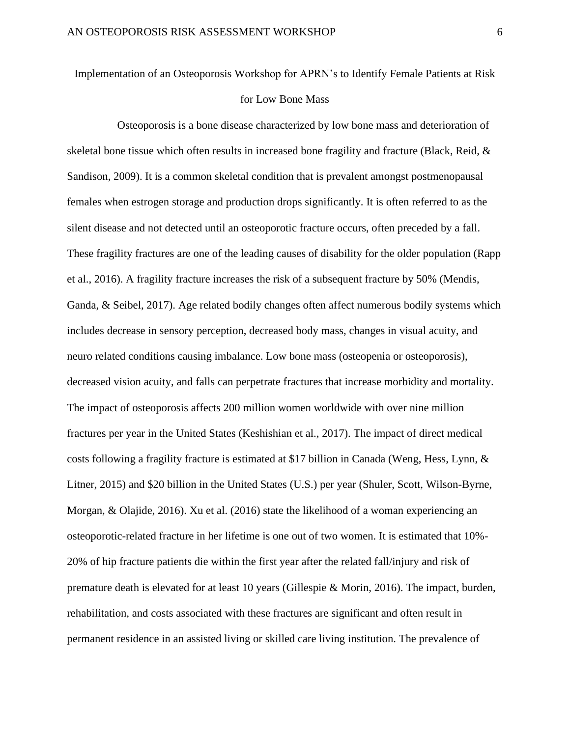# Implementation of an Osteoporosis Workshop for APRN's to Identify Female Patients at Risk for Low Bone Mass

 Osteoporosis is a bone disease characterized by low bone mass and deterioration of skeletal bone tissue which often results in increased bone fragility and fracture (Black, Reid, & Sandison, 2009). It is a common skeletal condition that is prevalent amongst postmenopausal females when estrogen storage and production drops significantly. It is often referred to as the silent disease and not detected until an osteoporotic fracture occurs, often preceded by a fall. These fragility fractures are one of the leading causes of disability for the older population (Rapp et al., 2016). A fragility fracture increases the risk of a subsequent fracture by 50% (Mendis, Ganda, & Seibel, 2017). Age related bodily changes often affect numerous bodily systems which includes decrease in sensory perception, decreased body mass, changes in visual acuity, and neuro related conditions causing imbalance. Low bone mass (osteopenia or osteoporosis), decreased vision acuity, and falls can perpetrate fractures that increase morbidity and mortality. The impact of osteoporosis affects 200 million women worldwide with over nine million fractures per year in the United States (Keshishian et al., 2017). The impact of direct medical costs following a fragility fracture is estimated at \$17 billion in Canada (Weng, Hess, Lynn, & Litner, 2015) and \$20 billion in the United States (U.S.) per year (Shuler, Scott, Wilson-Byrne, Morgan, & Olajide, 2016). Xu et al. (2016) state the likelihood of a woman experiencing an osteoporotic-related fracture in her lifetime is one out of two women. It is estimated that 10%- 20% of hip fracture patients die within the first year after the related fall/injury and risk of premature death is elevated for at least 10 years (Gillespie & Morin, 2016). The impact, burden, rehabilitation, and costs associated with these fractures are significant and often result in permanent residence in an assisted living or skilled care living institution. The prevalence of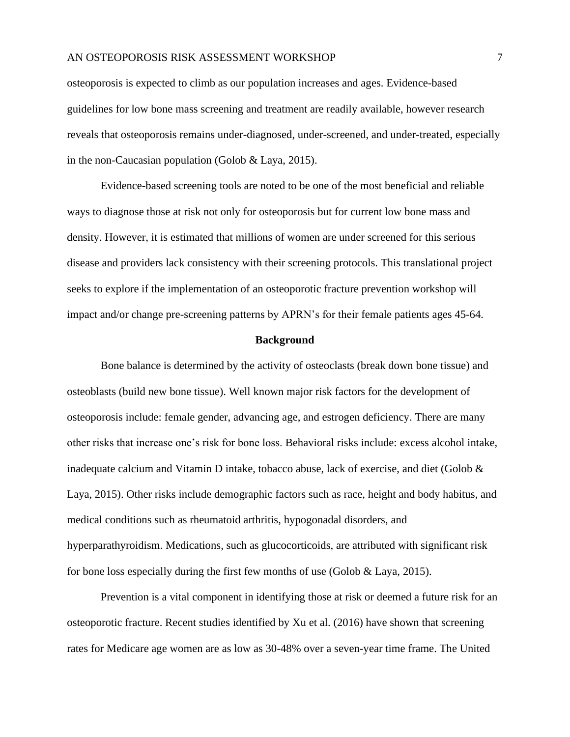osteoporosis is expected to climb as our population increases and ages. Evidence-based guidelines for low bone mass screening and treatment are readily available, however research reveals that osteoporosis remains under-diagnosed, under-screened, and under-treated, especially in the non-Caucasian population (Golob & Laya, 2015).

Evidence-based screening tools are noted to be one of the most beneficial and reliable ways to diagnose those at risk not only for osteoporosis but for current low bone mass and density. However, it is estimated that millions of women are under screened for this serious disease and providers lack consistency with their screening protocols. This translational project seeks to explore if the implementation of an osteoporotic fracture prevention workshop will impact and/or change pre-screening patterns by APRN's for their female patients ages 45-64.

#### **Background**

<span id="page-7-0"></span>Bone balance is determined by the activity of osteoclasts (break down bone tissue) and osteoblasts (build new bone tissue). Well known major risk factors for the development of osteoporosis include: female gender, advancing age, and estrogen deficiency. There are many other risks that increase one's risk for bone loss. Behavioral risks include: excess alcohol intake, inadequate calcium and Vitamin D intake, tobacco abuse, lack of exercise, and diet (Golob  $\&$ Laya, 2015). Other risks include demographic factors such as race, height and body habitus, and medical conditions such as rheumatoid arthritis, hypogonadal disorders, and hyperparathyroidism. Medications, such as glucocorticoids, are attributed with significant risk for bone loss especially during the first few months of use (Golob & Laya, 2015).

Prevention is a vital component in identifying those at risk or deemed a future risk for an osteoporotic fracture. Recent studies identified by Xu et al. (2016) have shown that screening rates for Medicare age women are as low as 30-48% over a seven-year time frame. The United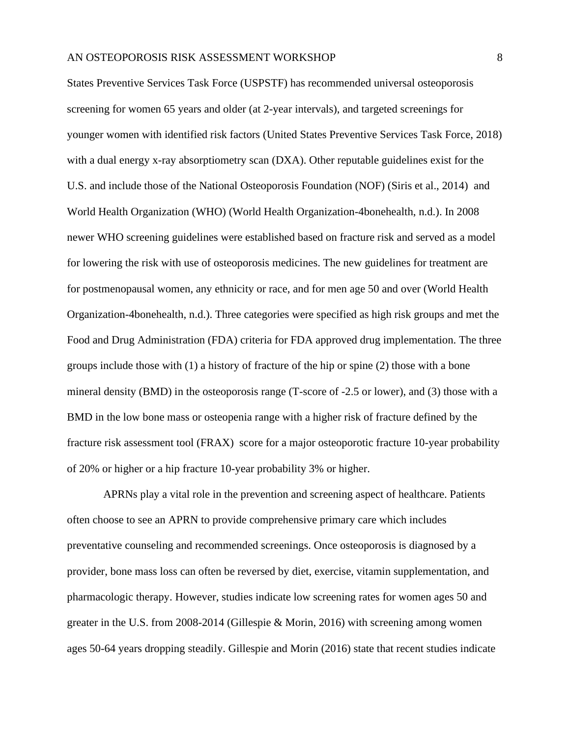States Preventive Services Task Force (USPSTF) has recommended universal osteoporosis screening for women 65 years and older (at 2-year intervals), and targeted screenings for younger women with identified risk factors (United States Preventive Services Task Force, 2018) with a dual energy x-ray absorptiometry scan (DXA). Other reputable guidelines exist for the U.S. and include those of the National Osteoporosis Foundation (NOF) (Siris et al., 2014) and World Health Organization (WHO) (World Health Organization-4bonehealth, n.d.). In 2008 newer WHO screening guidelines were established based on fracture risk and served as a model for lowering the risk with use of osteoporosis medicines. The new guidelines for treatment are for postmenopausal women, any ethnicity or race, and for men age 50 and over (World Health Organization-4bonehealth, n.d.). Three categories were specified as high risk groups and met the Food and Drug Administration (FDA) criteria for FDA approved drug implementation. The three groups include those with (1) a history of fracture of the hip or spine (2) those with a bone mineral density (BMD) in the osteoporosis range (T-score of -2.5 or lower), and (3) those with a BMD in the low bone mass or osteopenia range with a higher risk of fracture defined by the fracture risk assessment tool (FRAX) score for a major osteoporotic fracture 10-year probability of 20% or higher or a hip fracture 10-year probability 3% or higher.

APRNs play a vital role in the prevention and screening aspect of healthcare. Patients often choose to see an APRN to provide comprehensive primary care which includes preventative counseling and recommended screenings. Once osteoporosis is diagnosed by a provider, bone mass loss can often be reversed by diet, exercise, vitamin supplementation, and pharmacologic therapy. However, studies indicate low screening rates for women ages 50 and greater in the U.S. from 2008-2014 (Gillespie & Morin, 2016) with screening among women ages 50-64 years dropping steadily. Gillespie and Morin (2016) state that recent studies indicate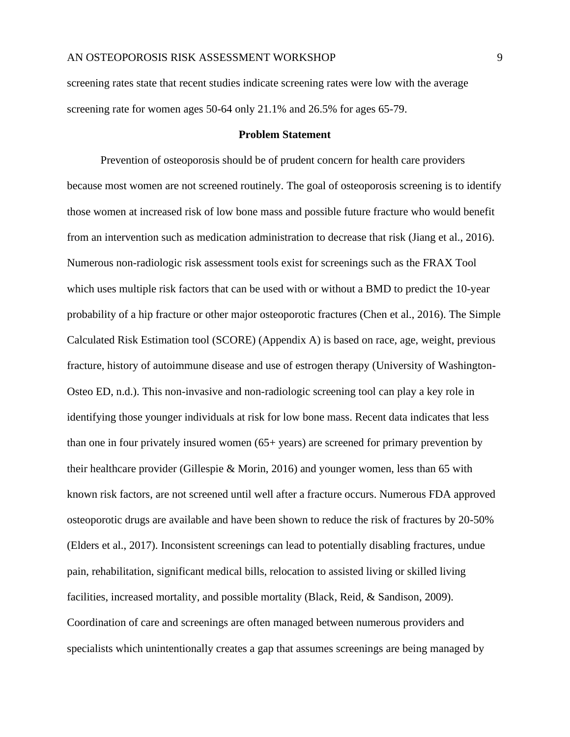screening rates state that recent studies indicate screening rates were low with the average screening rate for women ages 50-64 only 21.1% and 26.5% for ages 65-79.

#### **Problem Statement**

<span id="page-9-0"></span>Prevention of osteoporosis should be of prudent concern for health care providers because most women are not screened routinely. The goal of osteoporosis screening is to identify those women at increased risk of low bone mass and possible future fracture who would benefit from an intervention such as medication administration to decrease that risk (Jiang et al., 2016). Numerous non-radiologic risk assessment tools exist for screenings such as the FRAX Tool which uses multiple risk factors that can be used with or without a BMD to predict the 10-year probability of a hip fracture or other major osteoporotic fractures (Chen et al., 2016). The Simple Calculated Risk Estimation tool (SCORE) (Appendix A) is based on race, age, weight, previous fracture, history of autoimmune disease and use of estrogen therapy (University of Washington-Osteo ED, n.d.). This non-invasive and non-radiologic screening tool can play a key role in identifying those younger individuals at risk for low bone mass. Recent data indicates that less than one in four privately insured women (65+ years) are screened for primary prevention by their healthcare provider (Gillespie & Morin, 2016) and younger women, less than 65 with known risk factors, are not screened until well after a fracture occurs. Numerous FDA approved osteoporotic drugs are available and have been shown to reduce the risk of fractures by 20-50% (Elders et al., 2017). Inconsistent screenings can lead to potentially disabling fractures, undue pain, rehabilitation, significant medical bills, relocation to assisted living or skilled living facilities, increased mortality, and possible mortality (Black, Reid, & Sandison, 2009). Coordination of care and screenings are often managed between numerous providers and specialists which unintentionally creates a gap that assumes screenings are being managed by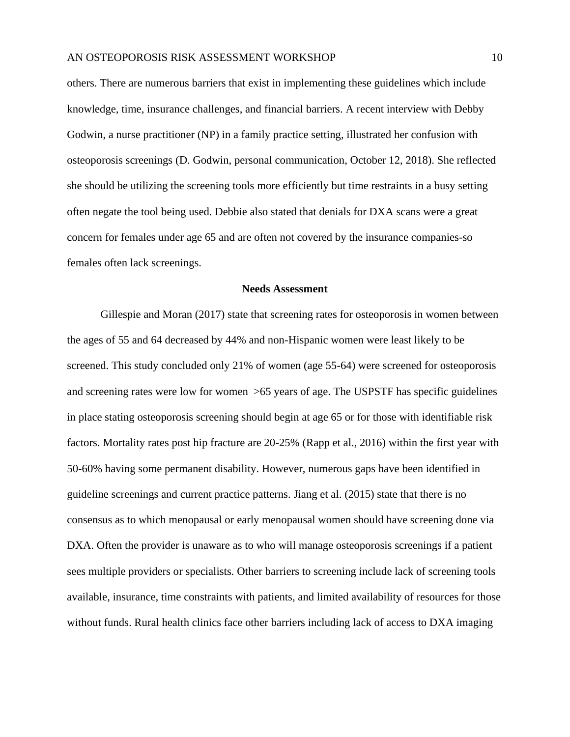others. There are numerous barriers that exist in implementing these guidelines which include knowledge, time, insurance challenges, and financial barriers. A recent interview with Debby Godwin, a nurse practitioner (NP) in a family practice setting, illustrated her confusion with osteoporosis screenings (D. Godwin, personal communication, October 12, 2018). She reflected she should be utilizing the screening tools more efficiently but time restraints in a busy setting often negate the tool being used. Debbie also stated that denials for DXA scans were a great concern for females under age 65 and are often not covered by the insurance companies-so females often lack screenings.

# **Needs Assessment**

<span id="page-10-0"></span>Gillespie and Moran (2017) state that screening rates for osteoporosis in women between the ages of 55 and 64 decreased by 44% and non-Hispanic women were least likely to be screened. This study concluded only 21% of women (age 55-64) were screened for osteoporosis and screening rates were low for women >65 years of age. The USPSTF has specific guidelines in place stating osteoporosis screening should begin at age 65 or for those with identifiable risk factors. Mortality rates post hip fracture are 20-25% (Rapp et al., 2016) within the first year with 50-60% having some permanent disability. However, numerous gaps have been identified in guideline screenings and current practice patterns. Jiang et al. (2015) state that there is no consensus as to which menopausal or early menopausal women should have screening done via DXA. Often the provider is unaware as to who will manage osteoporosis screenings if a patient sees multiple providers or specialists. Other barriers to screening include lack of screening tools available, insurance, time constraints with patients, and limited availability of resources for those without funds. Rural health clinics face other barriers including lack of access to DXA imaging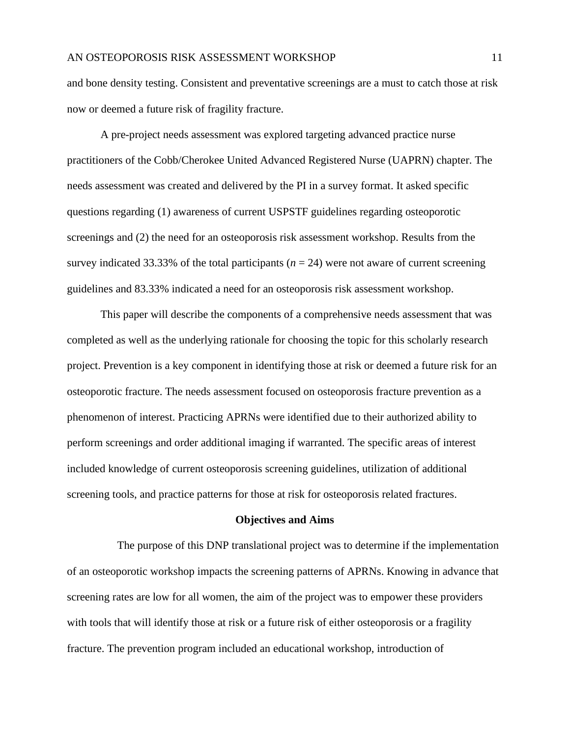and bone density testing. Consistent and preventative screenings are a must to catch those at risk now or deemed a future risk of fragility fracture.

A pre-project needs assessment was explored targeting advanced practice nurse practitioners of the Cobb/Cherokee United Advanced Registered Nurse (UAPRN) chapter. The needs assessment was created and delivered by the PI in a survey format. It asked specific questions regarding (1) awareness of current USPSTF guidelines regarding osteoporotic screenings and (2) the need for an osteoporosis risk assessment workshop. Results from the survey indicated 33.33% of the total participants ( $n = 24$ ) were not aware of current screening guidelines and 83.33% indicated a need for an osteoporosis risk assessment workshop.

This paper will describe the components of a comprehensive needs assessment that was completed as well as the underlying rationale for choosing the topic for this scholarly research project. Prevention is a key component in identifying those at risk or deemed a future risk for an osteoporotic fracture. The needs assessment focused on osteoporosis fracture prevention as a phenomenon of interest. Practicing APRNs were identified due to their authorized ability to perform screenings and order additional imaging if warranted. The specific areas of interest included knowledge of current osteoporosis screening guidelines, utilization of additional screening tools, and practice patterns for those at risk for osteoporosis related fractures.

#### **Objectives and Aims**

<span id="page-11-0"></span> The purpose of this DNP translational project was to determine if the implementation of an osteoporotic workshop impacts the screening patterns of APRNs. Knowing in advance that screening rates are low for all women, the aim of the project was to empower these providers with tools that will identify those at risk or a future risk of either osteoporosis or a fragility fracture. The prevention program included an educational workshop, introduction of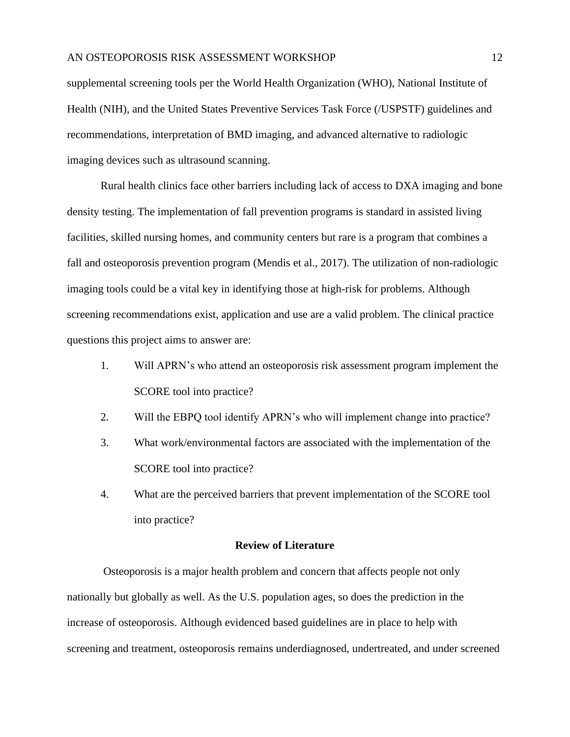supplemental screening tools per the World Health Organization (WHO), National Institute of Health (NIH), and the United States Preventive Services Task Force (/USPSTF) guidelines and recommendations, interpretation of BMD imaging, and advanced alternative to radiologic imaging devices such as ultrasound scanning.

Rural health clinics face other barriers including lack of access to DXA imaging and bone density testing. The implementation of fall prevention programs is standard in assisted living facilities, skilled nursing homes, and community centers but rare is a program that combines a fall and osteoporosis prevention program (Mendis et al., 2017). The utilization of non-radiologic imaging tools could be a vital key in identifying those at high-risk for problems. Although screening recommendations exist, application and use are a valid problem. The clinical practice questions this project aims to answer are:

- 1. Will APRN's who attend an osteoporosis risk assessment program implement the SCORE tool into practice?
- 2. Will the EBPQ tool identify APRN's who will implement change into practice?
- 3. What work/environmental factors are associated with the implementation of the SCORE tool into practice?
- 4. What are the perceived barriers that prevent implementation of the SCORE tool into practice?

## **Review of Literature**

<span id="page-12-0"></span>Osteoporosis is a major health problem and concern that affects people not only nationally but globally as well. As the U.S. population ages, so does the prediction in the increase of osteoporosis. Although evidenced based guidelines are in place to help with screening and treatment, osteoporosis remains underdiagnosed, undertreated, and under screened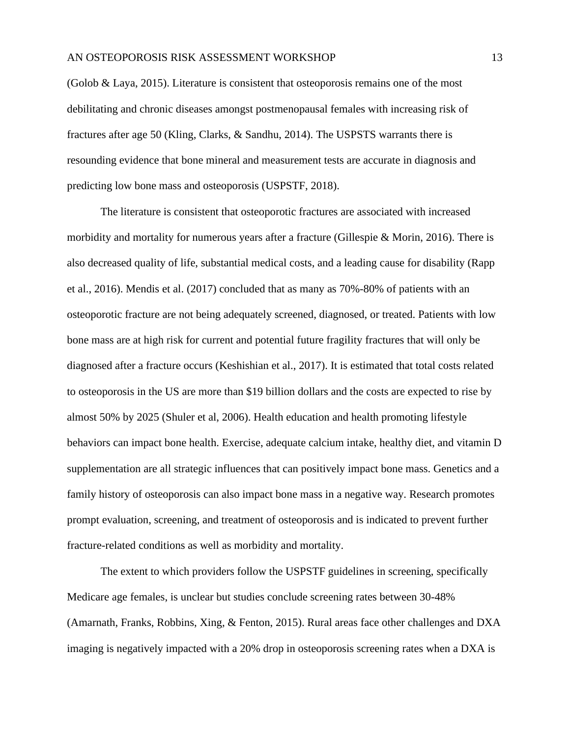(Golob & Laya, 2015). Literature is consistent that osteoporosis remains one of the most debilitating and chronic diseases amongst postmenopausal females with increasing risk of fractures after age 50 (Kling, Clarks, & Sandhu, 2014). The USPSTS warrants there is resounding evidence that bone mineral and measurement tests are accurate in diagnosis and predicting low bone mass and osteoporosis (USPSTF, 2018).

The literature is consistent that osteoporotic fractures are associated with increased morbidity and mortality for numerous years after a fracture (Gillespie & Morin, 2016). There is also decreased quality of life, substantial medical costs, and a leading cause for disability (Rapp et al., 2016). Mendis et al. (2017) concluded that as many as 70%-80% of patients with an osteoporotic fracture are not being adequately screened, diagnosed, or treated. Patients with low bone mass are at high risk for current and potential future fragility fractures that will only be diagnosed after a fracture occurs (Keshishian et al., 2017). It is estimated that total costs related to osteoporosis in the US are more than \$19 billion dollars and the costs are expected to rise by almost 50% by 2025 (Shuler et al, 2006). Health education and health promoting lifestyle behaviors can impact bone health. Exercise, adequate calcium intake, healthy diet, and vitamin D supplementation are all strategic influences that can positively impact bone mass. Genetics and a family history of osteoporosis can also impact bone mass in a negative way. Research promotes prompt evaluation, screening, and treatment of osteoporosis and is indicated to prevent further fracture-related conditions as well as morbidity and mortality.

The extent to which providers follow the USPSTF guidelines in screening, specifically Medicare age females, is unclear but studies conclude screening rates between 30-48% (Amarnath, Franks, Robbins, Xing, & Fenton, 2015). Rural areas face other challenges and DXA imaging is negatively impacted with a 20% drop in osteoporosis screening rates when a DXA is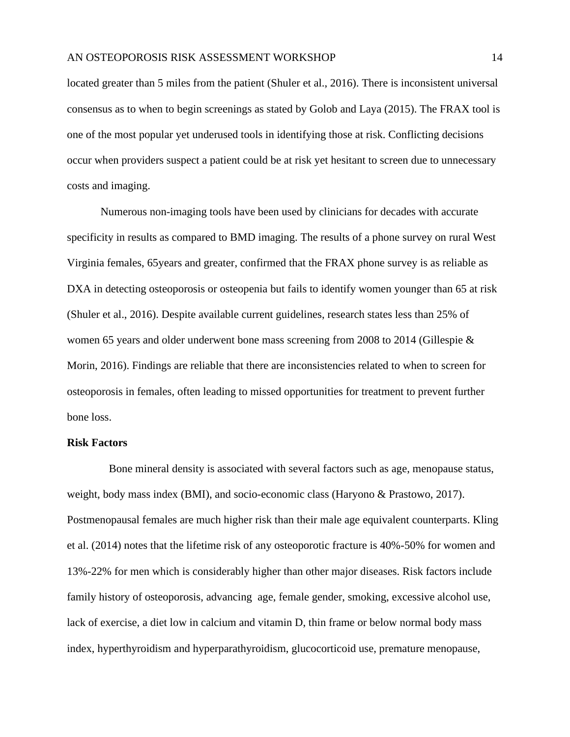located greater than 5 miles from the patient (Shuler et al., 2016). There is inconsistent universal consensus as to when to begin screenings as stated by Golob and Laya (2015). The FRAX tool is one of the most popular yet underused tools in identifying those at risk. Conflicting decisions occur when providers suspect a patient could be at risk yet hesitant to screen due to unnecessary costs and imaging.

Numerous non-imaging tools have been used by clinicians for decades with accurate specificity in results as compared to BMD imaging. The results of a phone survey on rural West Virginia females, 65years and greater, confirmed that the FRAX phone survey is as reliable as DXA in detecting osteoporosis or osteopenia but fails to identify women younger than 65 at risk (Shuler et al., 2016). Despite available current guidelines, research states less than 25% of women 65 years and older underwent bone mass screening from 2008 to 2014 (Gillespie & Morin, 2016). Findings are reliable that there are inconsistencies related to when to screen for osteoporosis in females, often leading to missed opportunities for treatment to prevent further bone loss.

#### <span id="page-14-0"></span>**Risk Factors**

 Bone mineral density is associated with several factors such as age, menopause status, weight, body mass index (BMI), and socio-economic class (Haryono & Prastowo, 2017). Postmenopausal females are much higher risk than their male age equivalent counterparts. Kling et al. (2014) notes that the lifetime risk of any osteoporotic fracture is 40%-50% for women and 13%-22% for men which is considerably higher than other major diseases. Risk factors include family history of osteoporosis, advancing age, female gender, smoking, excessive alcohol use, lack of exercise, a diet low in calcium and vitamin D, thin frame or below normal body mass index, hyperthyroidism and hyperparathyroidism, glucocorticoid use, premature menopause,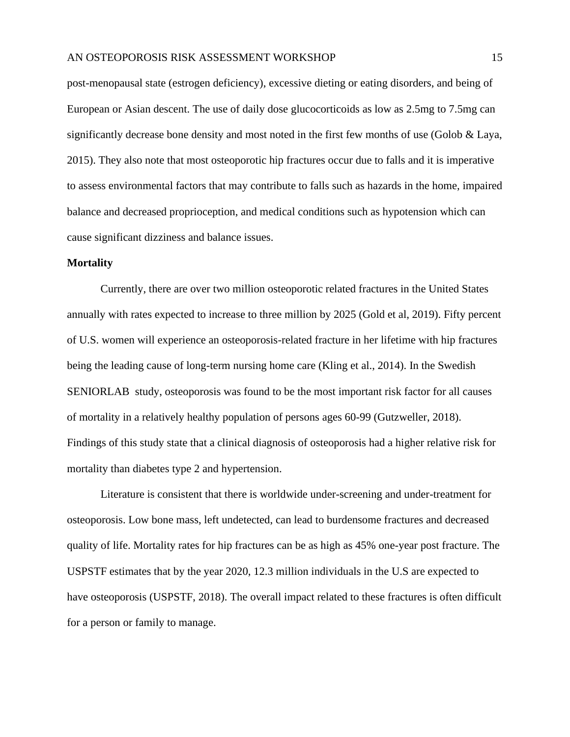post-menopausal state (estrogen deficiency), excessive dieting or eating disorders, and being of European or Asian descent. The use of daily dose glucocorticoids as low as 2.5mg to 7.5mg can significantly decrease bone density and most noted in the first few months of use (Golob & Laya, 2015). They also note that most osteoporotic hip fractures occur due to falls and it is imperative to assess environmental factors that may contribute to falls such as hazards in the home, impaired balance and decreased proprioception, and medical conditions such as hypotension which can cause significant dizziness and balance issues.

#### <span id="page-15-0"></span>**Mortality**

Currently, there are over two million osteoporotic related fractures in the United States annually with rates expected to increase to three million by 2025 (Gold et al, 2019). Fifty percent of U.S. women will experience an osteoporosis-related fracture in her lifetime with hip fractures being the leading cause of long-term nursing home care (Kling et al., 2014). In the Swedish SENIORLAB study, osteoporosis was found to be the most important risk factor for all causes of mortality in a relatively healthy population of persons ages 60-99 (Gutzweller, 2018). Findings of this study state that a clinical diagnosis of osteoporosis had a higher relative risk for mortality than diabetes type 2 and hypertension.

Literature is consistent that there is worldwide under-screening and under-treatment for osteoporosis. Low bone mass, left undetected, can lead to burdensome fractures and decreased quality of life. Mortality rates for hip fractures can be as high as 45% one-year post fracture. The USPSTF estimates that by the year 2020, 12.3 million individuals in the U.S are expected to have osteoporosis (USPSTF, 2018). The overall impact related to these fractures is often difficult for a person or family to manage.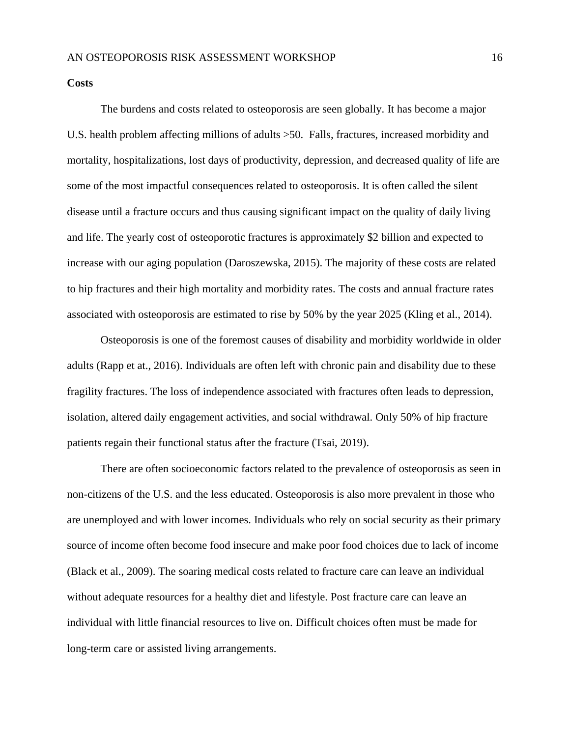#### <span id="page-16-0"></span>**Costs**

The burdens and costs related to osteoporosis are seen globally. It has become a major U.S. health problem affecting millions of adults >50. Falls, fractures, increased morbidity and mortality, hospitalizations, lost days of productivity, depression, and decreased quality of life are some of the most impactful consequences related to osteoporosis. It is often called the silent disease until a fracture occurs and thus causing significant impact on the quality of daily living and life. The yearly cost of osteoporotic fractures is approximately \$2 billion and expected to increase with our aging population (Daroszewska, 2015). The majority of these costs are related to hip fractures and their high mortality and morbidity rates. The costs and annual fracture rates associated with osteoporosis are estimated to rise by 50% by the year 2025 (Kling et al., 2014).

Osteoporosis is one of the foremost causes of disability and morbidity worldwide in older adults (Rapp et at., 2016). Individuals are often left with chronic pain and disability due to these fragility fractures. The loss of independence associated with fractures often leads to depression, isolation, altered daily engagement activities, and social withdrawal. Only 50% of hip fracture patients regain their functional status after the fracture (Tsai, 2019).

There are often socioeconomic factors related to the prevalence of osteoporosis as seen in non-citizens of the U.S. and the less educated. Osteoporosis is also more prevalent in those who are unemployed and with lower incomes. Individuals who rely on social security as their primary source of income often become food insecure and make poor food choices due to lack of income (Black et al., 2009). The soaring medical costs related to fracture care can leave an individual without adequate resources for a healthy diet and lifestyle. Post fracture care can leave an individual with little financial resources to live on. Difficult choices often must be made for long-term care or assisted living arrangements.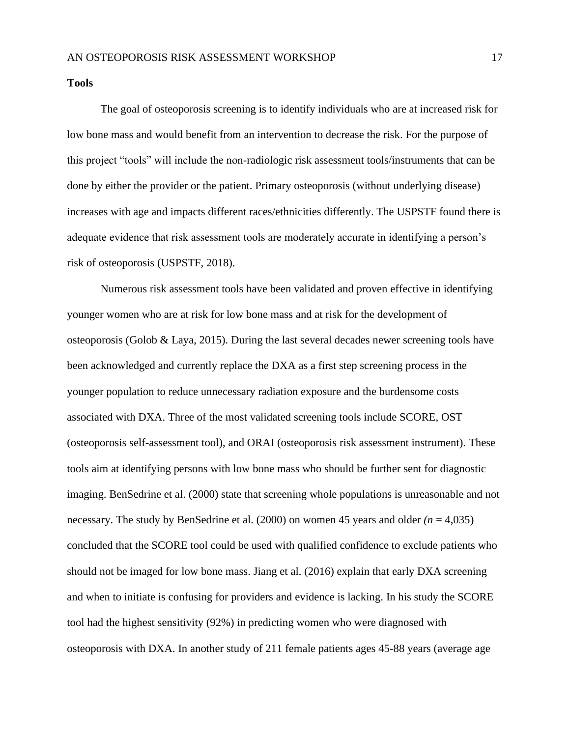<span id="page-17-0"></span>**Tools**

The goal of osteoporosis screening is to identify individuals who are at increased risk for low bone mass and would benefit from an intervention to decrease the risk. For the purpose of this project "tools" will include the non-radiologic risk assessment tools/instruments that can be done by either the provider or the patient. Primary osteoporosis (without underlying disease) increases with age and impacts different races/ethnicities differently. The USPSTF found there is adequate evidence that risk assessment tools are moderately accurate in identifying a person's risk of osteoporosis (USPSTF, 2018).

Numerous risk assessment tools have been validated and proven effective in identifying younger women who are at risk for low bone mass and at risk for the development of osteoporosis (Golob & Laya, 2015). During the last several decades newer screening tools have been acknowledged and currently replace the DXA as a first step screening process in the younger population to reduce unnecessary radiation exposure and the burdensome costs associated with DXA. Three of the most validated screening tools include SCORE, OST (osteoporosis self-assessment tool), and ORAI (osteoporosis risk assessment instrument). These tools aim at identifying persons with low bone mass who should be further sent for diagnostic imaging. BenSedrine et al. (2000) state that screening whole populations is unreasonable and not necessary. The study by BenSedrine et al. (2000) on women 45 years and older *(n* = 4,035) concluded that the SCORE tool could be used with qualified confidence to exclude patients who should not be imaged for low bone mass. Jiang et al. (2016) explain that early DXA screening and when to initiate is confusing for providers and evidence is lacking. In his study the SCORE tool had the highest sensitivity (92%) in predicting women who were diagnosed with osteoporosis with DXA. In another study of 211 female patients ages 45-88 years (average age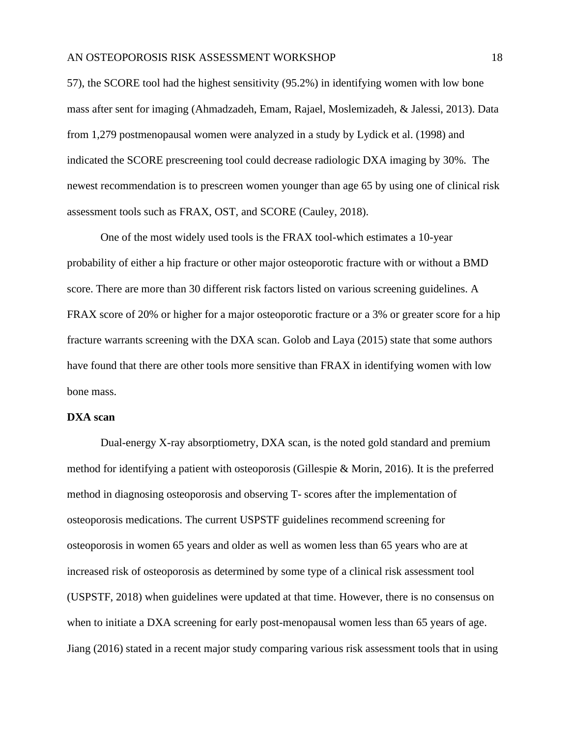57), the SCORE tool had the highest sensitivity (95.2%) in identifying women with low bone mass after sent for imaging (Ahmadzadeh, Emam, Rajael, Moslemizadeh, & Jalessi, 2013). Data from 1,279 postmenopausal women were analyzed in a study by Lydick et al. (1998) and indicated the SCORE prescreening tool could decrease radiologic DXA imaging by 30%. The newest recommendation is to prescreen women younger than age 65 by using one of clinical risk assessment tools such as FRAX, OST, and SCORE (Cauley, 2018).

One of the most widely used tools is the FRAX tool-which estimates a 10-year probability of either a hip fracture or other major osteoporotic fracture with or without a BMD score. There are more than 30 different risk factors listed on various screening guidelines. A FRAX score of 20% or higher for a major osteoporotic fracture or a 3% or greater score for a hip fracture warrants screening with the DXA scan. Golob and Laya (2015) state that some authors have found that there are other tools more sensitive than FRAX in identifying women with low bone mass.

#### <span id="page-18-0"></span>**DXA scan**

Dual-energy X-ray absorptiometry, DXA scan, is the noted gold standard and premium method for identifying a patient with osteoporosis (Gillespie & Morin, 2016). It is the preferred method in diagnosing osteoporosis and observing T- scores after the implementation of osteoporosis medications. The current USPSTF guidelines recommend screening for osteoporosis in women 65 years and older as well as women less than 65 years who are at increased risk of osteoporosis as determined by some type of a clinical risk assessment tool (USPSTF, 2018) when guidelines were updated at that time. However, there is no consensus on when to initiate a DXA screening for early post-menopausal women less than 65 years of age. Jiang (2016) stated in a recent major study comparing various risk assessment tools that in using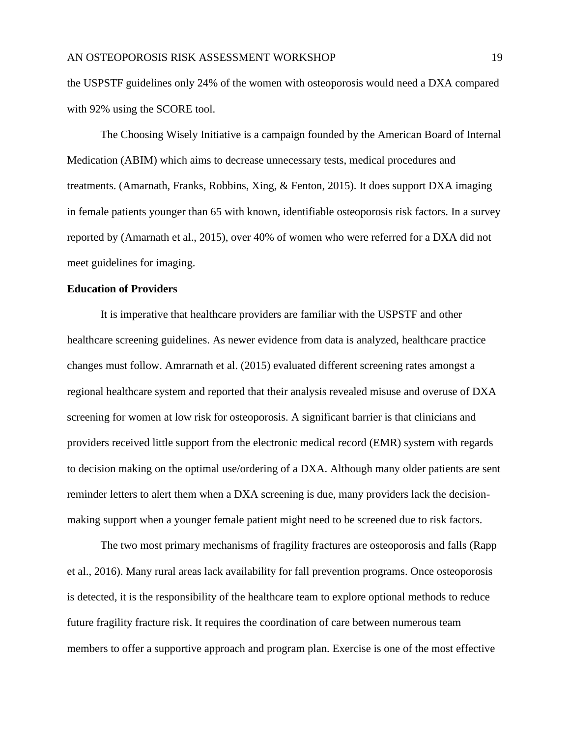the USPSTF guidelines only 24% of the women with osteoporosis would need a DXA compared with 92% using the SCORE tool.

The Choosing Wisely Initiative is a campaign founded by the American Board of Internal Medication (ABIM) which aims to decrease unnecessary tests, medical procedures and treatments. (Amarnath, Franks, Robbins, Xing, & Fenton, 2015). It does support DXA imaging in female patients younger than 65 with known, identifiable osteoporosis risk factors. In a survey reported by (Amarnath et al., 2015), over 40% of women who were referred for a DXA did not meet guidelines for imaging.

# <span id="page-19-0"></span>**Education of Providers**

It is imperative that healthcare providers are familiar with the USPSTF and other healthcare screening guidelines. As newer evidence from data is analyzed, healthcare practice changes must follow. Amrarnath et al. (2015) evaluated different screening rates amongst a regional healthcare system and reported that their analysis revealed misuse and overuse of DXA screening for women at low risk for osteoporosis. A significant barrier is that clinicians and providers received little support from the electronic medical record (EMR) system with regards to decision making on the optimal use/ordering of a DXA. Although many older patients are sent reminder letters to alert them when a DXA screening is due, many providers lack the decisionmaking support when a younger female patient might need to be screened due to risk factors.

The two most primary mechanisms of fragility fractures are osteoporosis and falls (Rapp et al., 2016). Many rural areas lack availability for fall prevention programs. Once osteoporosis is detected, it is the responsibility of the healthcare team to explore optional methods to reduce future fragility fracture risk. It requires the coordination of care between numerous team members to offer a supportive approach and program plan. Exercise is one of the most effective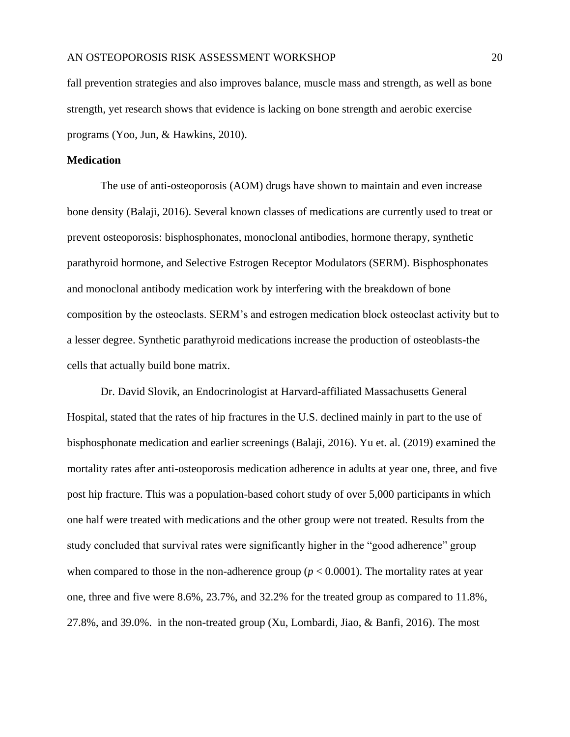fall prevention strategies and also improves balance, muscle mass and strength, as well as bone strength, yet research shows that evidence is lacking on bone strength and aerobic exercise programs (Yoo, Jun, & Hawkins, 2010).

#### <span id="page-20-0"></span>**Medication**

The use of anti-osteoporosis (AOM) drugs have shown to maintain and even increase bone density (Balaji, 2016). Several known classes of medications are currently used to treat or prevent osteoporosis: bisphosphonates, monoclonal antibodies, hormone therapy, synthetic parathyroid hormone, and Selective Estrogen Receptor Modulators (SERM). Bisphosphonates and monoclonal antibody medication work by interfering with the breakdown of bone composition by the osteoclasts. SERM's and estrogen medication block osteoclast activity but to a lesser degree. Synthetic parathyroid medications increase the production of osteoblasts-the cells that actually build bone matrix.

Dr. David Slovik, an Endocrinologist at Harvard-affiliated Massachusetts General Hospital, stated that the rates of hip fractures in the U.S. declined mainly in part to the use of bisphosphonate medication and earlier screenings (Balaji, 2016). Yu et. al. (2019) examined the mortality rates after anti-osteoporosis medication adherence in adults at year one, three, and five post hip fracture. This was a population-based cohort study of over 5,000 participants in which one half were treated with medications and the other group were not treated. Results from the study concluded that survival rates were significantly higher in the "good adherence" group when compared to those in the non-adherence group ( $p < 0.0001$ ). The mortality rates at year one, three and five were 8.6%, 23.7%, and 32.2% for the treated group as compared to 11.8%, 27.8%, and 39.0%. in the non-treated group (Xu, Lombardi, Jiao, & Banfi, 2016). The most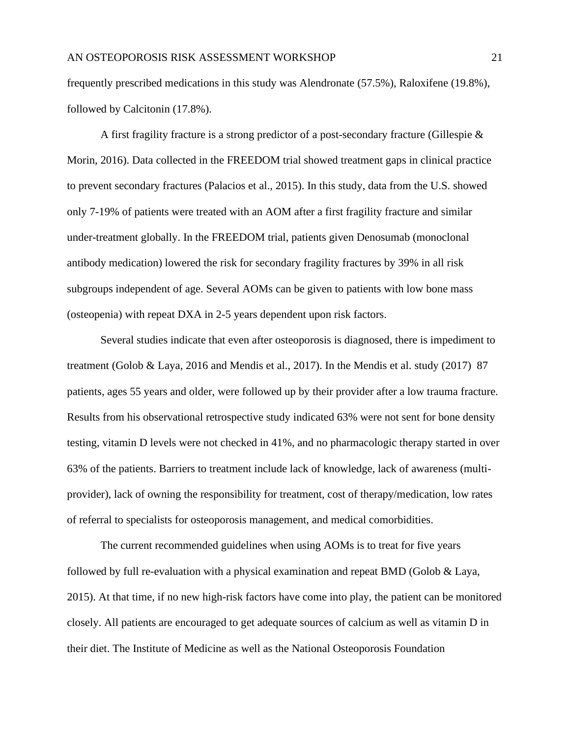frequently prescribed medications in this study was Alendronate (57.5%), Raloxifene (19.8%), followed by Calcitonin (17.8%).

A first fragility fracture is a strong predictor of a post-secondary fracture (Gillespie  $\&$ Morin, 2016). Data collected in the FREEDOM trial showed treatment gaps in clinical practice to prevent secondary fractures (Palacios et al., 2015). In this study, data from the U.S. showed only 7-19% of patients were treated with an AOM after a first fragility fracture and similar under-treatment globally. In the FREEDOM trial, patients given Denosumab (monoclonal antibody medication) lowered the risk for secondary fragility fractures by 39% in all risk subgroups independent of age. Several AOMs can be given to patients with low bone mass (osteopenia) with repeat DXA in 2-5 years dependent upon risk factors.

Several studies indicate that even after osteoporosis is diagnosed, there is impediment to treatment (Golob & Laya, 2016 and Mendis et al., 2017). In the Mendis et al. study (2017) 87 patients, ages 55 years and older, were followed up by their provider after a low trauma fracture. Results from his observational retrospective study indicated 63% were not sent for bone density testing, vitamin D levels were not checked in 41%, and no pharmacologic therapy started in over 63% of the patients. Barriers to treatment include lack of knowledge, lack of awareness (multiprovider), lack of owning the responsibility for treatment, cost of therapy/medication, low rates of referral to specialists for osteoporosis management, and medical comorbidities.

The current recommended guidelines when using AOMs is to treat for five years followed by full re-evaluation with a physical examination and repeat BMD (Golob & Laya, 2015). At that time, if no new high-risk factors have come into play, the patient can be monitored closely. All patients are encouraged to get adequate sources of calcium as well as vitamin D in their diet. The Institute of Medicine as well as the National Osteoporosis Foundation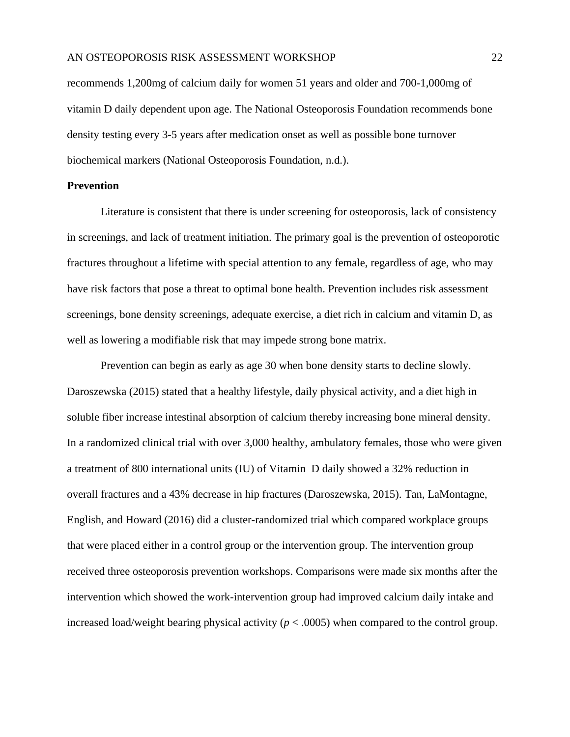recommends 1,200mg of calcium daily for women 51 years and older and 700-1,000mg of vitamin D daily dependent upon age. The National Osteoporosis Foundation recommends bone density testing every 3-5 years after medication onset as well as possible bone turnover biochemical markers (National Osteoporosis Foundation, n.d.).

# <span id="page-22-0"></span>**Prevention**

Literature is consistent that there is under screening for osteoporosis, lack of consistency in screenings, and lack of treatment initiation. The primary goal is the prevention of osteoporotic fractures throughout a lifetime with special attention to any female, regardless of age, who may have risk factors that pose a threat to optimal bone health. Prevention includes risk assessment screenings, bone density screenings, adequate exercise, a diet rich in calcium and vitamin D, as well as lowering a modifiable risk that may impede strong bone matrix.

Prevention can begin as early as age 30 when bone density starts to decline slowly. Daroszewska (2015) stated that a healthy lifestyle, daily physical activity, and a diet high in soluble fiber increase intestinal absorption of calcium thereby increasing bone mineral density. In a randomized clinical trial with over 3,000 healthy, ambulatory females, those who were given a treatment of 800 international units (IU) of Vitamin D daily showed a 32% reduction in overall fractures and a 43% decrease in hip fractures (Daroszewska, 2015). Tan, LaMontagne, English, and Howard (2016) did a cluster-randomized trial which compared workplace groups that were placed either in a control group or the intervention group. The intervention group received three osteoporosis prevention workshops. Comparisons were made six months after the intervention which showed the work-intervention group had improved calcium daily intake and increased load/weight bearing physical activity ( $p < .0005$ ) when compared to the control group.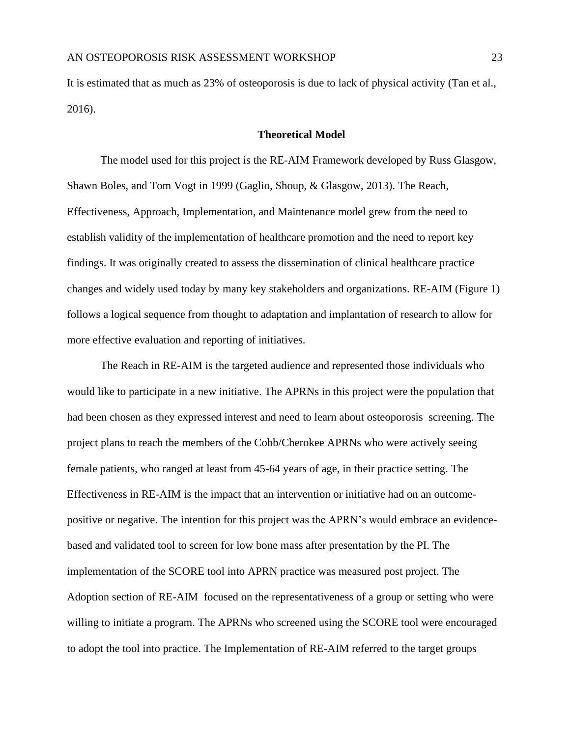It is estimated that as much as 23% of osteoporosis is due to lack of physical activity (Tan et al., 2016).

#### **Theoretical Model**

The model used for this project is the RE-AIM Framework developed by Russ Glasgow, Shawn Boles, and Tom Vogt in 1999 (Gaglio, Shoup, & Glasgow, 2013). The Reach, Effectiveness, Approach, Implementation, and Maintenance model grew from the need to establish validity of the implementation of healthcare promotion and the need to report key findings. It was originally created to assess the dissemination of clinical healthcare practice changes and widely used today by many key stakeholders and organizations. RE-AIM (Figure 1) follows a logical sequence from thought to adaptation and implantation of research to allow for more effective evaluation and reporting of initiatives.

The Reach in RE-AIM is the targeted audience and represented those individuals who would like to participate in a new initiative. The APRNs in this project were the population that had been chosen as they expressed interest and need to learn about osteoporosis screening. The project plans to reach the members of the Cobb/Cherokee APRNs who were actively seeing female patients, who ranged at least from 45-64 years of age, in their practice setting. The Effectiveness in RE-AIM is the impact that an intervention or initiative had on an outcomepositive or negative. The intention for this project was the APRN's would embrace an evidencebased and validated tool to screen for low bone mass after presentation by the PI. The implementation of the SCORE tool into APRN practice was measured post project. The Adoption section of RE-AIM focused on the representativeness of a group or setting who were willing to initiate a program. The APRNs who screened using the SCORE tool were encouraged to adopt the tool into practice. The Implementation of RE-AIM referred to the target groups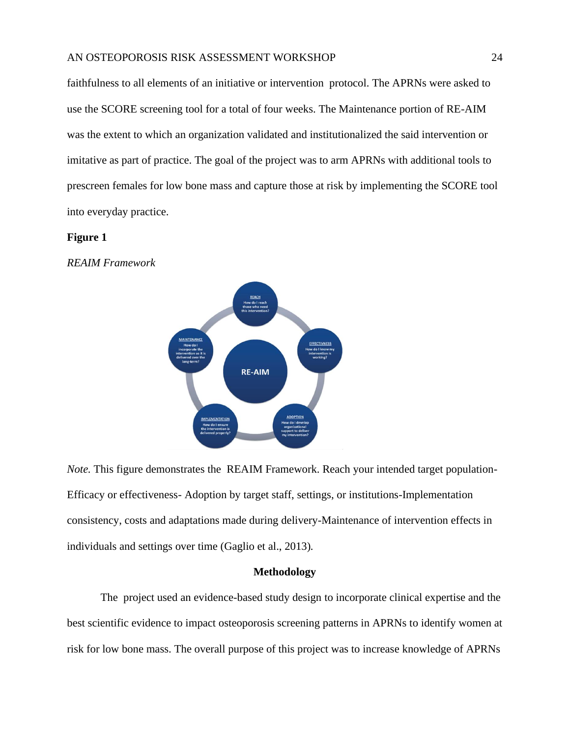faithfulness to all elements of an initiative or intervention protocol. The APRNs were asked to use the SCORE screening tool for a total of four weeks. The Maintenance portion of RE-AIM was the extent to which an organization validated and institutionalized the said intervention or imitative as part of practice. The goal of the project was to arm APRNs with additional tools to prescreen females for low bone mass and capture those at risk by implementing the SCORE tool into everyday practice.

#### **Figure 1**

*REAIM Framework*



*Note.* This figure demonstrates the REAIM Framework. Reach your intended target population-Efficacy or effectiveness- Adoption by target staff, settings, or institutions-Implementation consistency, costs and adaptations made during delivery-Maintenance of intervention effects in individuals and settings over time (Gaglio et al., 2013)*.*

#### **Methodology**

<span id="page-24-0"></span>The project used an evidence-based study design to incorporate clinical expertise and the best scientific evidence to impact osteoporosis screening patterns in APRNs to identify women at risk for low bone mass. The overall purpose of this project was to increase knowledge of APRNs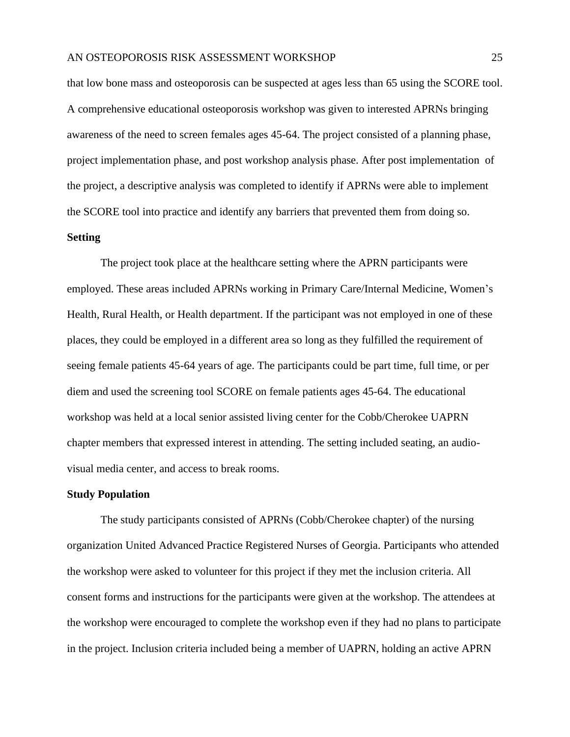that low bone mass and osteoporosis can be suspected at ages less than 65 using the SCORE tool. A comprehensive educational osteoporosis workshop was given to interested APRNs bringing awareness of the need to screen females ages 45-64. The project consisted of a planning phase, project implementation phase, and post workshop analysis phase. After post implementation of the project, a descriptive analysis was completed to identify if APRNs were able to implement the SCORE tool into practice and identify any barriers that prevented them from doing so.

## <span id="page-25-0"></span>**Setting**

The project took place at the healthcare setting where the APRN participants were employed. These areas included APRNs working in Primary Care/Internal Medicine, Women's Health, Rural Health, or Health department. If the participant was not employed in one of these places, they could be employed in a different area so long as they fulfilled the requirement of seeing female patients 45-64 years of age. The participants could be part time, full time, or per diem and used the screening tool SCORE on female patients ages 45-64. The educational workshop was held at a local senior assisted living center for the Cobb/Cherokee UAPRN chapter members that expressed interest in attending. The setting included seating, an audiovisual media center, and access to break rooms.

#### <span id="page-25-1"></span>**Study Population**

The study participants consisted of APRNs (Cobb/Cherokee chapter) of the nursing organization United Advanced Practice Registered Nurses of Georgia. Participants who attended the workshop were asked to volunteer for this project if they met the inclusion criteria. All consent forms and instructions for the participants were given at the workshop. The attendees at the workshop were encouraged to complete the workshop even if they had no plans to participate in the project. Inclusion criteria included being a member of UAPRN, holding an active APRN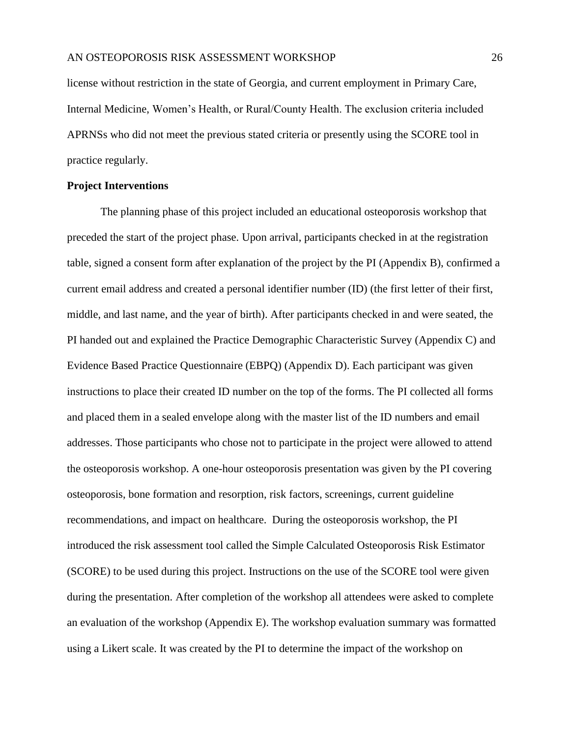license without restriction in the state of Georgia, and current employment in Primary Care, Internal Medicine, Women's Health, or Rural/County Health. The exclusion criteria included APRNSs who did not meet the previous stated criteria or presently using the SCORE tool in practice regularly.

# <span id="page-26-0"></span>**Project Interventions**

The planning phase of this project included an educational osteoporosis workshop that preceded the start of the project phase. Upon arrival, participants checked in at the registration table, signed a consent form after explanation of the project by the PI (Appendix B), confirmed a current email address and created a personal identifier number (ID) (the first letter of their first, middle, and last name, and the year of birth). After participants checked in and were seated, the PI handed out and explained the Practice Demographic Characteristic Survey (Appendix C) and Evidence Based Practice Questionnaire (EBPQ) (Appendix D). Each participant was given instructions to place their created ID number on the top of the forms. The PI collected all forms and placed them in a sealed envelope along with the master list of the ID numbers and email addresses. Those participants who chose not to participate in the project were allowed to attend the osteoporosis workshop. A one-hour osteoporosis presentation was given by the PI covering osteoporosis, bone formation and resorption, risk factors, screenings, current guideline recommendations, and impact on healthcare. During the osteoporosis workshop, the PI introduced the risk assessment tool called the Simple Calculated Osteoporosis Risk Estimator (SCORE) to be used during this project. Instructions on the use of the SCORE tool were given during the presentation. After completion of the workshop all attendees were asked to complete an evaluation of the workshop (Appendix E). The workshop evaluation summary was formatted using a Likert scale. It was created by the PI to determine the impact of the workshop on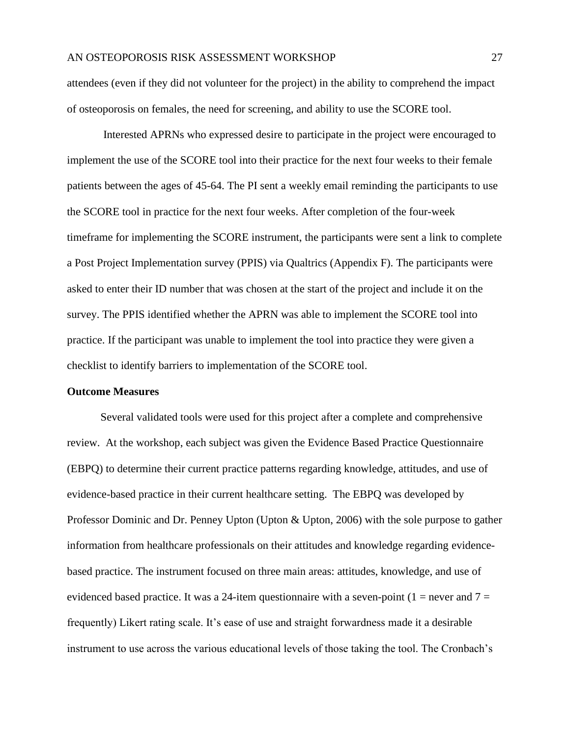attendees (even if they did not volunteer for the project) in the ability to comprehend the impact of osteoporosis on females, the need for screening, and ability to use the SCORE tool.

Interested APRNs who expressed desire to participate in the project were encouraged to implement the use of the SCORE tool into their practice for the next four weeks to their female patients between the ages of 45-64. The PI sent a weekly email reminding the participants to use the SCORE tool in practice for the next four weeks. After completion of the four-week timeframe for implementing the SCORE instrument, the participants were sent a link to complete a Post Project Implementation survey (PPIS) via Qualtrics (Appendix F). The participants were asked to enter their ID number that was chosen at the start of the project and include it on the survey. The PPIS identified whether the APRN was able to implement the SCORE tool into practice. If the participant was unable to implement the tool into practice they were given a checklist to identify barriers to implementation of the SCORE tool.

#### <span id="page-27-0"></span>**Outcome Measures**

Several validated tools were used for this project after a complete and comprehensive review. At the workshop, each subject was given the Evidence Based Practice Questionnaire (EBPQ) to determine their current practice patterns regarding knowledge, attitudes, and use of evidence-based practice in their current healthcare setting. The EBPQ was developed by Professor Dominic and Dr. Penney Upton (Upton & Upton, 2006) with the sole purpose to gather information from healthcare professionals on their attitudes and knowledge regarding evidencebased practice. The instrument focused on three main areas: attitudes, knowledge, and use of evidenced based practice. It was a 24-item questionnaire with a seven-point ( $1 =$  never and  $7 =$ frequently) Likert rating scale. It's ease of use and straight forwardness made it a desirable instrument to use across the various educational levels of those taking the tool. The Cronbach's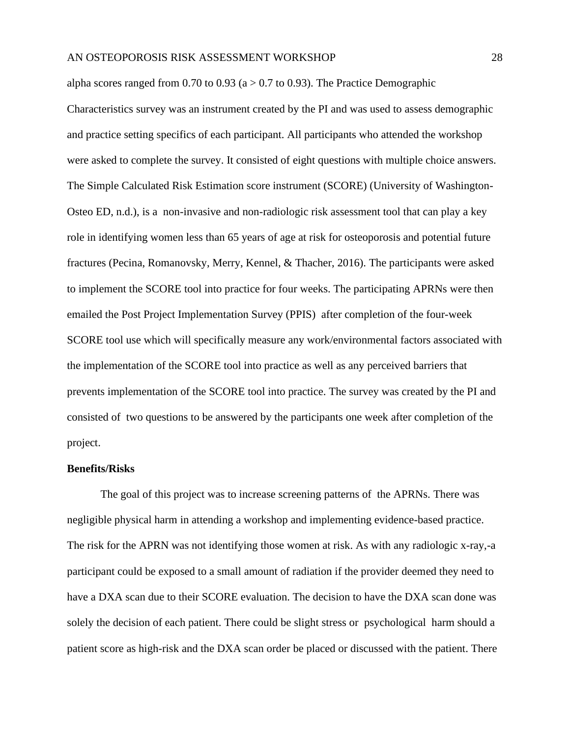alpha scores ranged from 0.70 to 0.93 ( $a > 0.7$  to 0.93). The Practice Demographic Characteristics survey was an instrument created by the PI and was used to assess demographic and practice setting specifics of each participant. All participants who attended the workshop were asked to complete the survey. It consisted of eight questions with multiple choice answers. The Simple Calculated Risk Estimation score instrument (SCORE) (University of Washington-Osteo ED, n.d.), is a non-invasive and non-radiologic risk assessment tool that can play a key role in identifying women less than 65 years of age at risk for osteoporosis and potential future fractures (Pecina, Romanovsky, Merry, Kennel, & Thacher, 2016). The participants were asked to implement the SCORE tool into practice for four weeks. The participating APRNs were then emailed the Post Project Implementation Survey (PPIS) after completion of the four-week SCORE tool use which will specifically measure any work/environmental factors associated with the implementation of the SCORE tool into practice as well as any perceived barriers that prevents implementation of the SCORE tool into practice. The survey was created by the PI and consisted of two questions to be answered by the participants one week after completion of the project.

#### <span id="page-28-0"></span>**Benefits/Risks**

The goal of this project was to increase screening patterns of the APRNs. There was negligible physical harm in attending a workshop and implementing evidence-based practice. The risk for the APRN was not identifying those women at risk. As with any radiologic x-ray,-a participant could be exposed to a small amount of radiation if the provider deemed they need to have a DXA scan due to their SCORE evaluation. The decision to have the DXA scan done was solely the decision of each patient. There could be slight stress or psychological harm should a patient score as high-risk and the DXA scan order be placed or discussed with the patient. There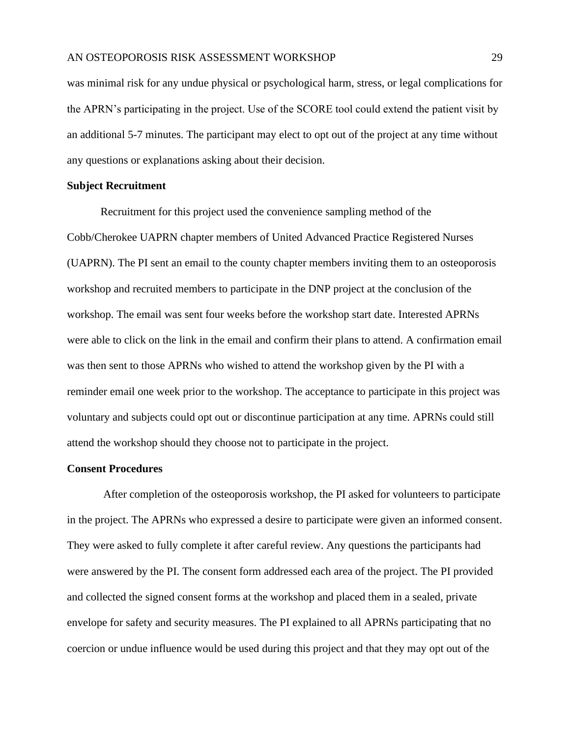was minimal risk for any undue physical or psychological harm, stress, or legal complications for the APRN's participating in the project. Use of the SCORE tool could extend the patient visit by an additional 5-7 minutes. The participant may elect to opt out of the project at any time without any questions or explanations asking about their decision.

### <span id="page-29-0"></span>**Subject Recruitment**

Recruitment for this project used the convenience sampling method of the Cobb/Cherokee UAPRN chapter members of United Advanced Practice Registered Nurses (UAPRN). The PI sent an email to the county chapter members inviting them to an osteoporosis workshop and recruited members to participate in the DNP project at the conclusion of the workshop. The email was sent four weeks before the workshop start date. Interested APRNs were able to click on the link in the email and confirm their plans to attend. A confirmation email was then sent to those APRNs who wished to attend the workshop given by the PI with a reminder email one week prior to the workshop. The acceptance to participate in this project was voluntary and subjects could opt out or discontinue participation at any time. APRNs could still attend the workshop should they choose not to participate in the project.

#### <span id="page-29-1"></span>**Consent Procedures**

After completion of the osteoporosis workshop, the PI asked for volunteers to participate in the project. The APRNs who expressed a desire to participate were given an informed consent. They were asked to fully complete it after careful review. Any questions the participants had were answered by the PI. The consent form addressed each area of the project. The PI provided and collected the signed consent forms at the workshop and placed them in a sealed, private envelope for safety and security measures. The PI explained to all APRNs participating that no coercion or undue influence would be used during this project and that they may opt out of the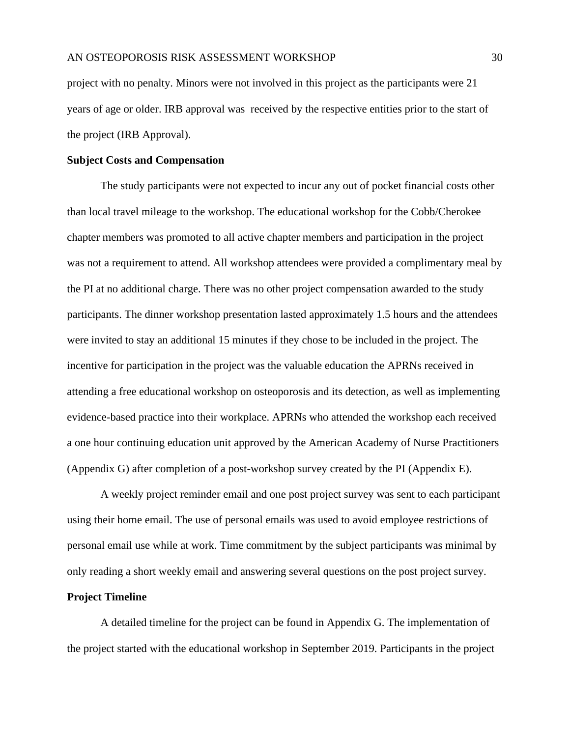project with no penalty. Minors were not involved in this project as the participants were 21 years of age or older. IRB approval was received by the respective entities prior to the start of the project (IRB Approval).

#### <span id="page-30-0"></span>**Subject Costs and Compensation**

The study participants were not expected to incur any out of pocket financial costs other than local travel mileage to the workshop. The educational workshop for the Cobb/Cherokee chapter members was promoted to all active chapter members and participation in the project was not a requirement to attend. All workshop attendees were provided a complimentary meal by the PI at no additional charge. There was no other project compensation awarded to the study participants. The dinner workshop presentation lasted approximately 1.5 hours and the attendees were invited to stay an additional 15 minutes if they chose to be included in the project. The incentive for participation in the project was the valuable education the APRNs received in attending a free educational workshop on osteoporosis and its detection, as well as implementing evidence-based practice into their workplace. APRNs who attended the workshop each received a one hour continuing education unit approved by the American Academy of Nurse Practitioners (Appendix G) after completion of a post-workshop survey created by the PI (Appendix E).

A weekly project reminder email and one post project survey was sent to each participant using their home email. The use of personal emails was used to avoid employee restrictions of personal email use while at work. Time commitment by the subject participants was minimal by only reading a short weekly email and answering several questions on the post project survey.

#### <span id="page-30-1"></span>**Project Timeline**

A detailed timeline for the project can be found in Appendix G. The implementation of the project started with the educational workshop in September 2019. Participants in the project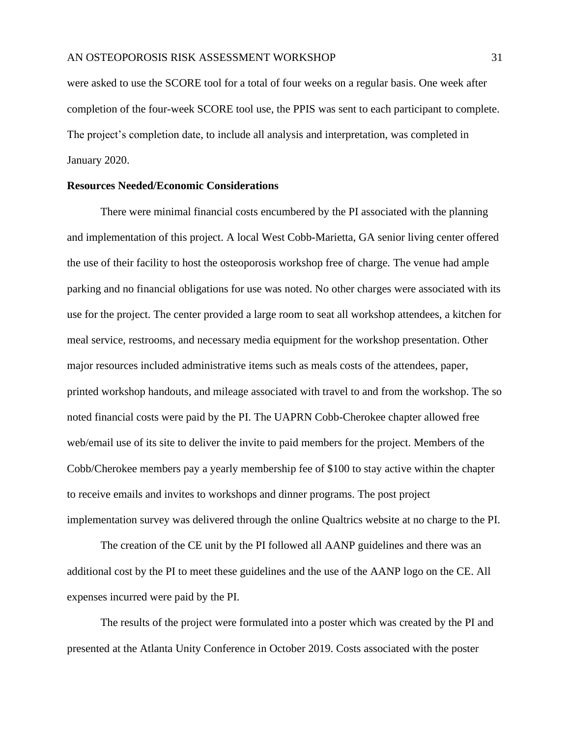were asked to use the SCORE tool for a total of four weeks on a regular basis. One week after completion of the four-week SCORE tool use, the PPIS was sent to each participant to complete. The project's completion date, to include all analysis and interpretation, was completed in January 2020.

# <span id="page-31-0"></span>**Resources Needed/Economic Considerations**

There were minimal financial costs encumbered by the PI associated with the planning and implementation of this project. A local West Cobb-Marietta, GA senior living center offered the use of their facility to host the osteoporosis workshop free of charge. The venue had ample parking and no financial obligations for use was noted. No other charges were associated with its use for the project. The center provided a large room to seat all workshop attendees, a kitchen for meal service, restrooms, and necessary media equipment for the workshop presentation. Other major resources included administrative items such as meals costs of the attendees, paper, printed workshop handouts, and mileage associated with travel to and from the workshop. The so noted financial costs were paid by the PI. The UAPRN Cobb-Cherokee chapter allowed free web/email use of its site to deliver the invite to paid members for the project. Members of the Cobb/Cherokee members pay a yearly membership fee of \$100 to stay active within the chapter to receive emails and invites to workshops and dinner programs. The post project implementation survey was delivered through the online Qualtrics website at no charge to the PI.

The creation of the CE unit by the PI followed all AANP guidelines and there was an additional cost by the PI to meet these guidelines and the use of the AANP logo on the CE. All expenses incurred were paid by the PI.

The results of the project were formulated into a poster which was created by the PI and presented at the Atlanta Unity Conference in October 2019. Costs associated with the poster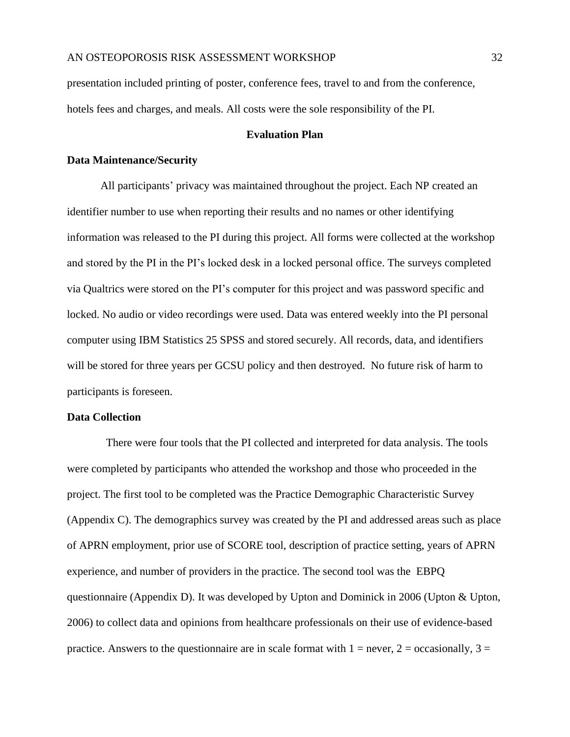presentation included printing of poster, conference fees, travel to and from the conference, hotels fees and charges, and meals. All costs were the sole responsibility of the PI.

# **Evaluation Plan**

#### <span id="page-32-1"></span><span id="page-32-0"></span>**Data Maintenance/Security**

All participants' privacy was maintained throughout the project. Each NP created an identifier number to use when reporting their results and no names or other identifying information was released to the PI during this project. All forms were collected at the workshop and stored by the PI in the PI's locked desk in a locked personal office. The surveys completed via Qualtrics were stored on the PI's computer for this project and was password specific and locked. No audio or video recordings were used. Data was entered weekly into the PI personal computer using IBM Statistics 25 SPSS and stored securely. All records, data, and identifiers will be stored for three years per GCSU policy and then destroyed. No future risk of harm to participants is foreseen.

### **Data Collection**

There were four tools that the PI collected and interpreted for data analysis. The tools were completed by participants who attended the workshop and those who proceeded in the project. The first tool to be completed was the Practice Demographic Characteristic Survey (Appendix C). The demographics survey was created by the PI and addressed areas such as place of APRN employment, prior use of SCORE tool, description of practice setting, years of APRN experience, and number of providers in the practice. The second tool was the EBPQ questionnaire (Appendix D). It was developed by Upton and Dominick in 2006 (Upton & Upton, 2006) to collect data and opinions from healthcare professionals on their use of evidence-based practice. Answers to the questionnaire are in scale format with  $1 =$  never,  $2 =$  occasionally,  $3 =$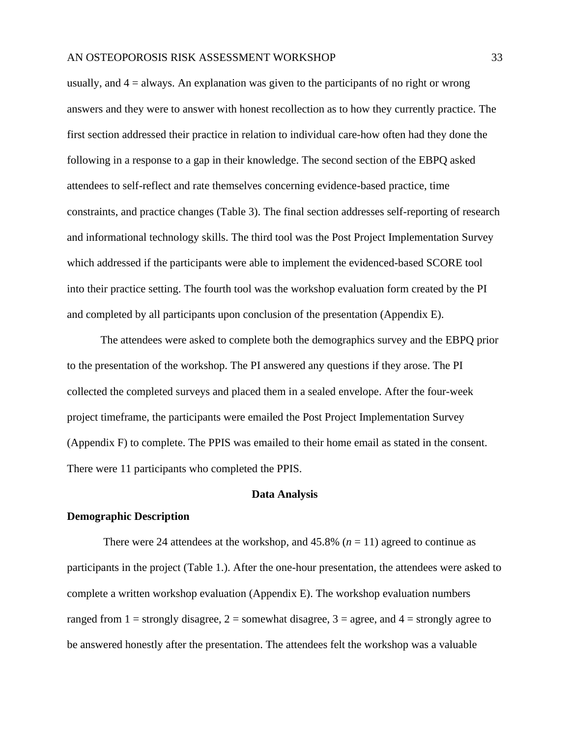usually, and 4 = always. An explanation was given to the participants of no right or wrong answers and they were to answer with honest recollection as to how they currently practice. The first section addressed their practice in relation to individual care-how often had they done the following in a response to a gap in their knowledge. The second section of the EBPQ asked attendees to self-reflect and rate themselves concerning evidence-based practice, time constraints, and practice changes (Table 3). The final section addresses self-reporting of research and informational technology skills. The third tool was the Post Project Implementation Survey which addressed if the participants were able to implement the evidenced-based SCORE tool into their practice setting. The fourth tool was the workshop evaluation form created by the PI and completed by all participants upon conclusion of the presentation (Appendix E).

The attendees were asked to complete both the demographics survey and the EBPQ prior to the presentation of the workshop. The PI answered any questions if they arose. The PI collected the completed surveys and placed them in a sealed envelope. After the four-week project timeframe, the participants were emailed the Post Project Implementation Survey (Appendix F) to complete. The PPIS was emailed to their home email as stated in the consent. There were 11 participants who completed the PPIS.

#### **Data Analysis**

#### <span id="page-33-1"></span><span id="page-33-0"></span>**Demographic Description**

There were 24 attendees at the workshop, and  $45.8\%$  ( $n = 11$ ) agreed to continue as participants in the project (Table 1.). After the one-hour presentation, the attendees were asked to complete a written workshop evaluation (Appendix E). The workshop evaluation numbers ranged from  $1 =$  strongly disagree,  $2 =$  somewhat disagree,  $3 =$  agree, and  $4 =$  strongly agree to be answered honestly after the presentation. The attendees felt the workshop was a valuable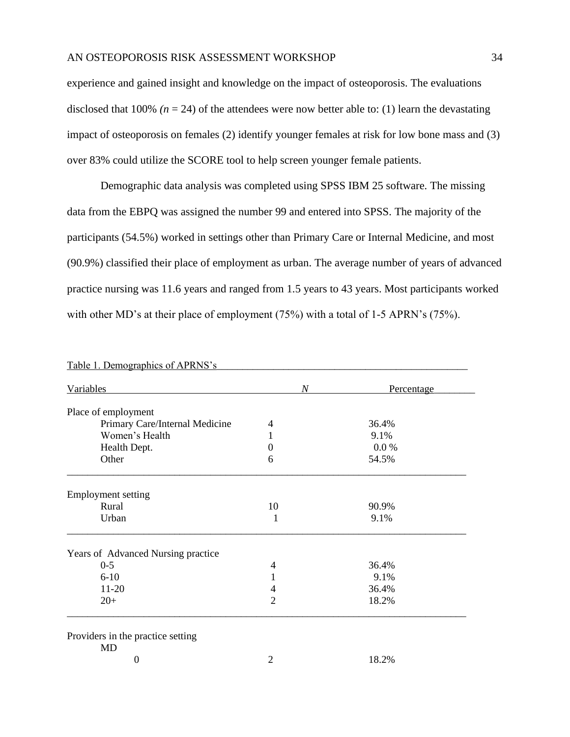experience and gained insight and knowledge on the impact of osteoporosis. The evaluations disclosed that 100%  $(n = 24)$  of the attendees were now better able to: (1) learn the devastating impact of osteoporosis on females (2) identify younger females at risk for low bone mass and (3) over 83% could utilize the SCORE tool to help screen younger female patients.

Demographic data analysis was completed using SPSS IBM 25 software. The missing data from the EBPQ was assigned the number 99 and entered into SPSS. The majority of the participants (54.5%) worked in settings other than Primary Care or Internal Medicine, and most (90.9%) classified their place of employment as urban. The average number of years of advanced practice nursing was 11.6 years and ranged from 1.5 years to 43 years. Most participants worked with other MD's at their place of employment (75%) with a total of 1-5 APRN's (75%).

| Variables                                      | $\boldsymbol{N}$ | Percentage |
|------------------------------------------------|------------------|------------|
| Place of employment                            |                  |            |
| Primary Care/Internal Medicine                 | 4                | 36.4%      |
| Women's Health                                 | 1                | 9.1%       |
| Health Dept.                                   | $\theta$         | 0.0 %      |
| Other                                          | 6                | 54.5%      |
| <b>Employment setting</b>                      |                  |            |
| Rural                                          | 10               | 90.9%      |
| Urban                                          | 1                | 9.1%       |
| Years of Advanced Nursing practice             |                  |            |
| $0 - 5$                                        | 4                | 36.4%      |
| $6 - 10$                                       |                  | 9.1%       |
| $11-20$                                        | 4                | 36.4%      |
| $20+$                                          | $\overline{2}$   | 18.2%      |
| Providers in the practice setting<br><b>MD</b> |                  |            |
| 0                                              | 2                | 18.2%      |

Table 1. Demographics of APRNS's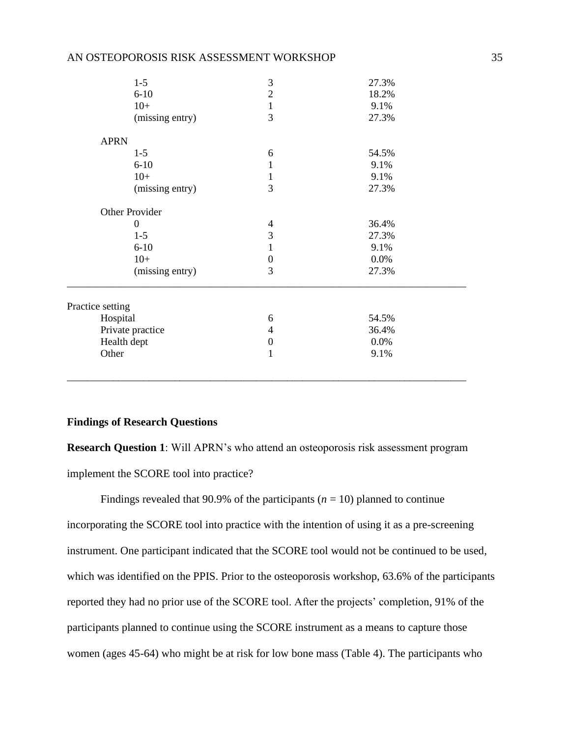| $1 - 5$          | $\mathfrak{Z}$   | 27.3% |  |
|------------------|------------------|-------|--|
| $6 - 10$         | $\overline{2}$   | 18.2% |  |
| $10+$            | $\mathbf{1}$     | 9.1%  |  |
| (missing entry)  | 3                | 27.3% |  |
| <b>APRN</b>      |                  |       |  |
| $1 - 5$          | 6                | 54.5% |  |
| $6 - 10$         | 1                | 9.1%  |  |
| $10+$            | 1                | 9.1%  |  |
| (missing entry)  | 3                | 27.3% |  |
| Other Provider   |                  |       |  |
| $\overline{0}$   | $\overline{4}$   | 36.4% |  |
| $1 - 5$          | 3                | 27.3% |  |
| $6 - 10$         | 1                | 9.1%  |  |
| $10+$            | $\boldsymbol{0}$ | 0.0%  |  |
| (missing entry)  | 3                | 27.3% |  |
| Practice setting |                  |       |  |
| Hospital         | 6                | 54.5% |  |
| Private practice | 4                | 36.4% |  |
| Health dept      | $\boldsymbol{0}$ | 0.0%  |  |
| Other            | $\mathbf{1}$     | 9.1%  |  |
|                  |                  |       |  |

#### <span id="page-35-0"></span>**Findings of Research Questions**

**Research Question 1**: Will APRN's who attend an osteoporosis risk assessment program implement the SCORE tool into practice?

Findings revealed that 90.9% of the participants ( $n = 10$ ) planned to continue incorporating the SCORE tool into practice with the intention of using it as a pre-screening instrument. One participant indicated that the SCORE tool would not be continued to be used, which was identified on the PPIS. Prior to the osteoporosis workshop, 63.6% of the participants reported they had no prior use of the SCORE tool. After the projects' completion, 91% of the participants planned to continue using the SCORE instrument as a means to capture those women (ages 45-64) who might be at risk for low bone mass (Table 4). The participants who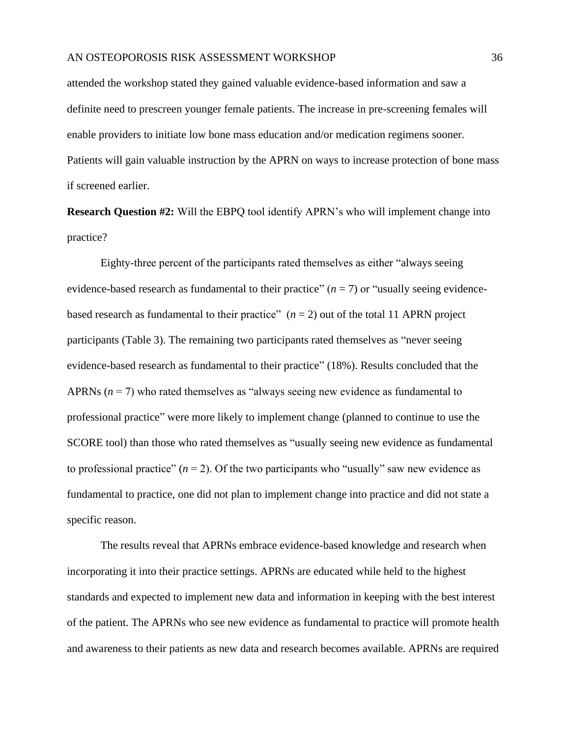attended the workshop stated they gained valuable evidence-based information and saw a definite need to prescreen younger female patients. The increase in pre-screening females will enable providers to initiate low bone mass education and/or medication regimens sooner. Patients will gain valuable instruction by the APRN on ways to increase protection of bone mass if screened earlier.

**Research Question #2:** Will the EBPQ tool identify APRN's who will implement change into practice?

Eighty-three percent of the participants rated themselves as either "always seeing evidence-based research as fundamental to their practice"  $(n = 7)$  or "usually seeing evidencebased research as fundamental to their practice"  $(n = 2)$  out of the total 11 APRN project participants (Table 3). The remaining two participants rated themselves as "never seeing evidence-based research as fundamental to their practice" (18%). Results concluded that the APRNs (*n* = 7) who rated themselves as "always seeing new evidence as fundamental to professional practice" were more likely to implement change (planned to continue to use the SCORE tool) than those who rated themselves as "usually seeing new evidence as fundamental to professional practice"  $(n = 2)$ . Of the two participants who "usually" saw new evidence as fundamental to practice, one did not plan to implement change into practice and did not state a specific reason.

The results reveal that APRNs embrace evidence-based knowledge and research when incorporating it into their practice settings. APRNs are educated while held to the highest standards and expected to implement new data and information in keeping with the best interest of the patient. The APRNs who see new evidence as fundamental to practice will promote health and awareness to their patients as new data and research becomes available. APRNs are required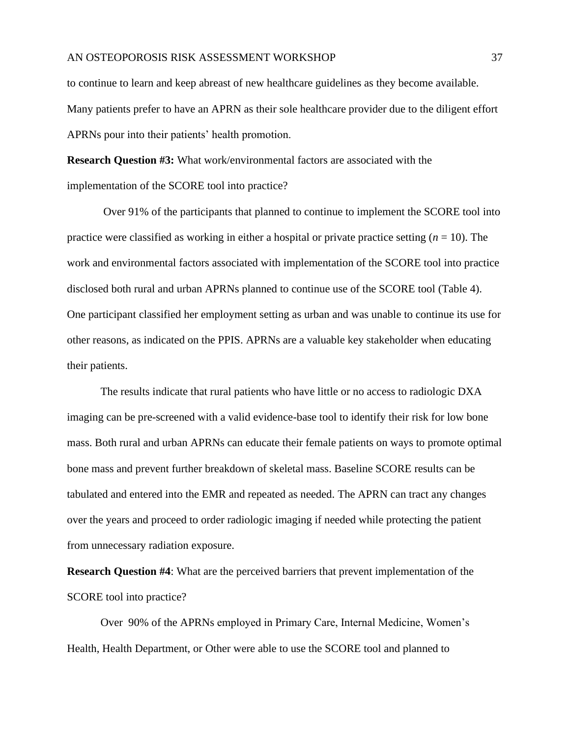to continue to learn and keep abreast of new healthcare guidelines as they become available. Many patients prefer to have an APRN as their sole healthcare provider due to the diligent effort APRNs pour into their patients' health promotion.

**Research Question #3:** What work/environmental factors are associated with the implementation of the SCORE tool into practice?

Over 91% of the participants that planned to continue to implement the SCORE tool into practice were classified as working in either a hospital or private practice setting  $(n = 10)$ . The work and environmental factors associated with implementation of the SCORE tool into practice disclosed both rural and urban APRNs planned to continue use of the SCORE tool (Table 4). One participant classified her employment setting as urban and was unable to continue its use for other reasons, as indicated on the PPIS. APRNs are a valuable key stakeholder when educating their patients.

The results indicate that rural patients who have little or no access to radiologic DXA imaging can be pre-screened with a valid evidence-base tool to identify their risk for low bone mass. Both rural and urban APRNs can educate their female patients on ways to promote optimal bone mass and prevent further breakdown of skeletal mass. Baseline SCORE results can be tabulated and entered into the EMR and repeated as needed. The APRN can tract any changes over the years and proceed to order radiologic imaging if needed while protecting the patient from unnecessary radiation exposure.

**Research Question #4**: What are the perceived barriers that prevent implementation of the SCORE tool into practice?

Over 90% of the APRNs employed in Primary Care, Internal Medicine, Women's Health, Health Department, or Other were able to use the SCORE tool and planned to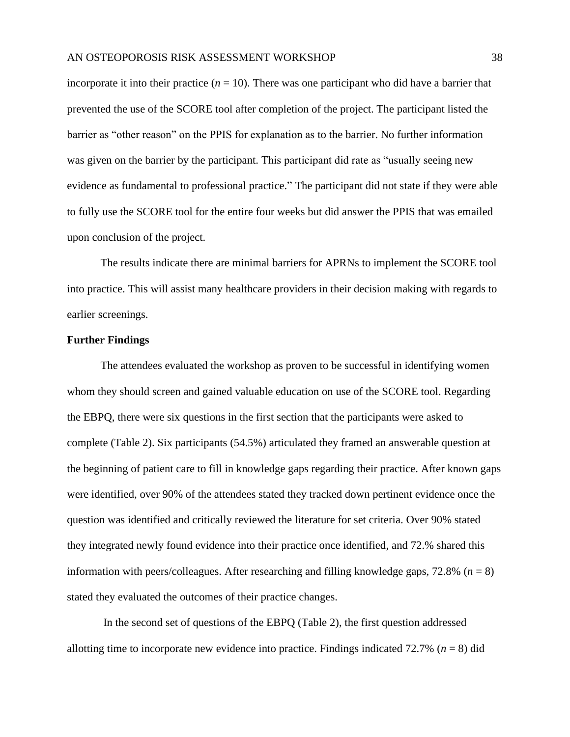incorporate it into their practice  $(n = 10)$ . There was one participant who did have a barrier that prevented the use of the SCORE tool after completion of the project. The participant listed the barrier as "other reason" on the PPIS for explanation as to the barrier. No further information was given on the barrier by the participant. This participant did rate as "usually seeing new evidence as fundamental to professional practice." The participant did not state if they were able to fully use the SCORE tool for the entire four weeks but did answer the PPIS that was emailed upon conclusion of the project.

The results indicate there are minimal barriers for APRNs to implement the SCORE tool into practice. This will assist many healthcare providers in their decision making with regards to earlier screenings.

# <span id="page-38-0"></span>**Further Findings**

The attendees evaluated the workshop as proven to be successful in identifying women whom they should screen and gained valuable education on use of the SCORE tool. Regarding the EBPQ, there were six questions in the first section that the participants were asked to complete (Table 2). Six participants (54.5%) articulated they framed an answerable question at the beginning of patient care to fill in knowledge gaps regarding their practice. After known gaps were identified, over 90% of the attendees stated they tracked down pertinent evidence once the question was identified and critically reviewed the literature for set criteria. Over 90% stated they integrated newly found evidence into their practice once identified, and 72.% shared this information with peers/colleagues. After researching and filling knowledge gaps,  $72.8\%$  ( $n = 8$ ) stated they evaluated the outcomes of their practice changes.

In the second set of questions of the EBPQ (Table 2), the first question addressed allotting time to incorporate new evidence into practice. Findings indicated  $72.7\%$  ( $n = 8$ ) did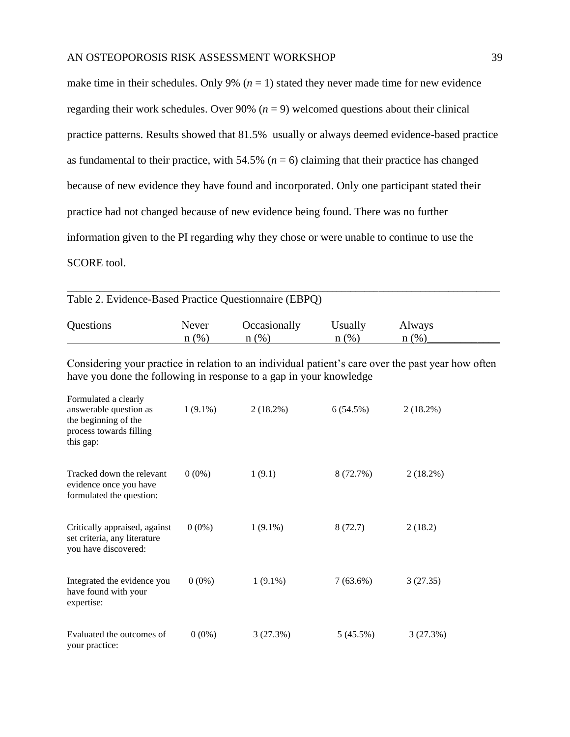make time in their schedules. Only 9%  $(n = 1)$  stated they never made time for new evidence regarding their work schedules. Over 90% ( $n = 9$ ) welcomed questions about their clinical practice patterns. Results showed that 81.5% usually or always deemed evidence-based practice as fundamental to their practice, with 54.5% ( $n = 6$ ) claiming that their practice has changed because of new evidence they have found and incorporated. Only one participant stated their practice had not changed because of new evidence being found. There was no further information given to the PI regarding why they chose or were unable to continue to use the SCORE tool.

 $\_$  ,  $\_$  ,  $\_$  ,  $\_$  ,  $\_$  ,  $\_$  ,  $\_$  ,  $\_$  ,  $\_$  ,  $\_$  ,  $\_$  ,  $\_$  ,  $\_$  ,  $\_$  ,  $\_$  ,  $\_$  ,  $\_$  ,  $\_$  ,  $\_$  ,  $\_$  ,  $\_$  ,  $\_$  ,  $\_$  ,  $\_$  ,  $\_$  ,  $\_$  ,  $\_$  ,  $\_$  ,  $\_$  ,  $\_$  ,  $\_$  ,  $\_$  ,  $\_$  ,  $\_$  ,  $\_$  ,  $\_$  ,  $\_$  ,

| Table 2. Evidence-Based Practice Questionnaire (EBPQ)                                                                                                                    |                  |                         |                    |                |  |
|--------------------------------------------------------------------------------------------------------------------------------------------------------------------------|------------------|-------------------------|--------------------|----------------|--|
| Questions                                                                                                                                                                | Never<br>$n(\%)$ | Occasionally<br>$n$ (%) | Usually<br>$n$ (%) | Always<br>n(%) |  |
| Considering your practice in relation to an individual patient's care over the past year how often<br>have you done the following in response to a gap in your knowledge |                  |                         |                    |                |  |
| Formulated a clearly<br>answerable question as<br>the beginning of the<br>process towards filling<br>this gap:                                                           | $1(9.1\%)$       | $2(18.2\%)$             | 6(54.5%)           | $2(18.2\%)$    |  |
| Tracked down the relevant<br>evidence once you have<br>formulated the question:                                                                                          | $0(0\%)$         | 1(9.1)                  | 8 (72.7%)          | $2(18.2\%)$    |  |
| Critically appraised, against<br>set criteria, any literature<br>you have discovered:                                                                                    | $0(0\%)$         | $1(9.1\%)$              | 8(72.7)            | 2(18.2)        |  |
| Integrated the evidence you<br>have found with your<br>expertise:                                                                                                        | $0(0\%)$         | $1(9.1\%)$              | $7(63.6\%)$        | 3(27.35)       |  |
| Evaluated the outcomes of<br>your practice:                                                                                                                              | $0(0\%)$         | 3(27.3%)                | 5(45.5%)           | 3(27.3%)       |  |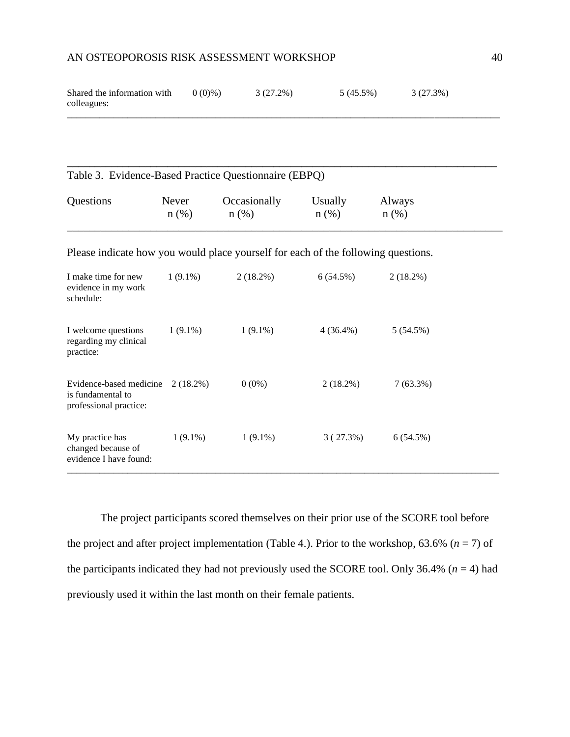| Shared the information with | $0(0)\%$ | 3 (27.2%) | $5(45.5\%)$ | 3 (27.3%) |
|-----------------------------|----------|-----------|-------------|-----------|
| colleagues:                 |          |           |             |           |
|                             |          |           |             |           |

|           |       | Table 3. Evidence-Based Practice Questionnaire (EBPQ) |         |         |
|-----------|-------|-------------------------------------------------------|---------|---------|
| Questions | Never | Occasionally                                          | Usually | Always  |
|           | n(%)  | $n$ (%)                                               | $n$ (%) | $n$ (%) |

Please indicate how you would place yourself for each of the following questions.

| I make time for new<br>evidence in my work<br>schedule:                | $1(9.1\%)$  | $2(18.2\%)$ | 6(54.5%)    | $2(18.2\%)$ |
|------------------------------------------------------------------------|-------------|-------------|-------------|-------------|
| I welcome questions<br>regarding my clinical<br>practice:              | $1(9.1\%)$  | $1(9.1\%)$  | $4(36.4\%)$ | 5(54.5%)    |
| Evidence-based medicine<br>is fundamental to<br>professional practice: | $2(18.2\%)$ | $0(0\%)$    | $2(18.2\%)$ | $7(63.3\%)$ |
| My practice has<br>changed because of<br>evidence I have found:        | $1(9.1\%)$  | $1(9.1\%)$  | 3(27.3%)    | 6(54.5%)    |

The project participants scored themselves on their prior use of the SCORE tool before the project and after project implementation (Table 4.). Prior to the workshop,  $63.6\%$  ( $n = 7$ ) of the participants indicated they had not previously used the SCORE tool. Only 36.4% ( $n = 4$ ) had previously used it within the last month on their female patients.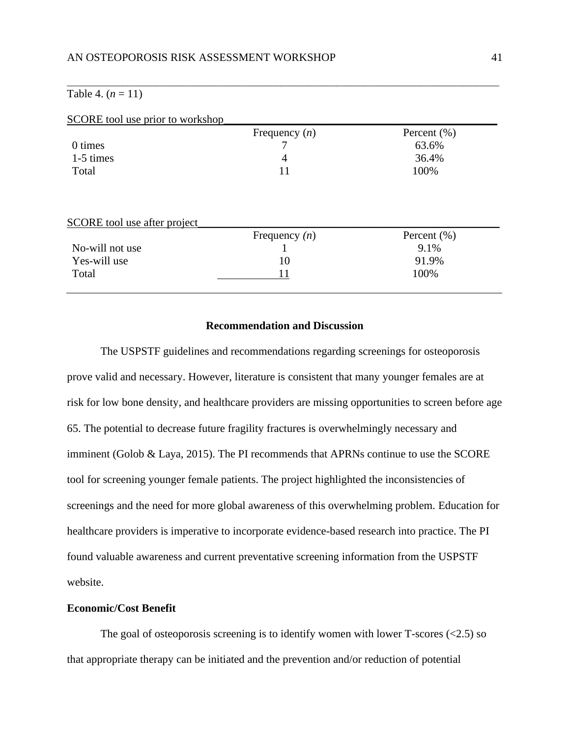# Table 4.  $(n = 11)$

|                                     | SCORE tool use prior to workshop<br>Frequency $(n)$ | Percent $(\% )$         |
|-------------------------------------|-----------------------------------------------------|-------------------------|
| 0 times                             |                                                     | 63.6%                   |
| 1-5 times                           | 4                                                   | 36.4%                   |
| Total                               | 11                                                  | 100%                    |
|                                     |                                                     |                         |
|                                     |                                                     |                         |
| <b>SCORE</b> tool use after project |                                                     |                         |
| No-will not use                     | Frequency $(n)$                                     | Percent $(\% )$<br>9.1% |
| Yes-will use                        | 10                                                  | 91.9%                   |

 $\_$  ,  $\_$  ,  $\_$  ,  $\_$  ,  $\_$  ,  $\_$  ,  $\_$  ,  $\_$  ,  $\_$  ,  $\_$  ,  $\_$  ,  $\_$  ,  $\_$  ,  $\_$  ,  $\_$  ,  $\_$  ,  $\_$  ,  $\_$  ,  $\_$  ,  $\_$  ,  $\_$  ,  $\_$  ,  $\_$  ,  $\_$  ,  $\_$  ,  $\_$  ,  $\_$  ,  $\_$  ,  $\_$  ,  $\_$  ,  $\_$  ,  $\_$  ,  $\_$  ,  $\_$  ,  $\_$  ,  $\_$  ,  $\_$  ,

# **Recommendation and Discussion**

<span id="page-41-0"></span>The USPSTF guidelines and recommendations regarding screenings for osteoporosis prove valid and necessary. However, literature is consistent that many younger females are at risk for low bone density, and healthcare providers are missing opportunities to screen before age 65. The potential to decrease future fragility fractures is overwhelmingly necessary and imminent (Golob & Laya, 2015). The PI recommends that APRNs continue to use the SCORE tool for screening younger female patients. The project highlighted the inconsistencies of screenings and the need for more global awareness of this overwhelming problem. Education for healthcare providers is imperative to incorporate evidence-based research into practice. The PI found valuable awareness and current preventative screening information from the USPSTF website.

#### <span id="page-41-1"></span>**Economic/Cost Benefit**

The goal of osteoporosis screening is to identify women with lower T-scores  $(\leq 2.5)$  so that appropriate therapy can be initiated and the prevention and/or reduction of potential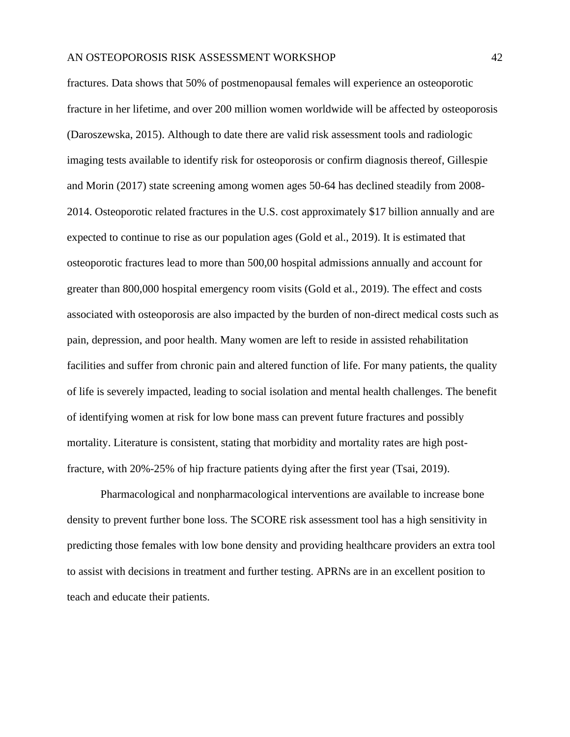fractures. Data shows that 50% of postmenopausal females will experience an osteoporotic fracture in her lifetime, and over 200 million women worldwide will be affected by osteoporosis (Daroszewska, 2015). Although to date there are valid risk assessment tools and radiologic imaging tests available to identify risk for osteoporosis or confirm diagnosis thereof, Gillespie and Morin (2017) state screening among women ages 50-64 has declined steadily from 2008- 2014. Osteoporotic related fractures in the U.S. cost approximately \$17 billion annually and are expected to continue to rise as our population ages (Gold et al., 2019). It is estimated that osteoporotic fractures lead to more than 500,00 hospital admissions annually and account for greater than 800,000 hospital emergency room visits (Gold et al., 2019). The effect and costs associated with osteoporosis are also impacted by the burden of non-direct medical costs such as pain, depression, and poor health. Many women are left to reside in assisted rehabilitation facilities and suffer from chronic pain and altered function of life. For many patients, the quality of life is severely impacted, leading to social isolation and mental health challenges. The benefit of identifying women at risk for low bone mass can prevent future fractures and possibly mortality. Literature is consistent, stating that morbidity and mortality rates are high postfracture, with 20%-25% of hip fracture patients dying after the first year (Tsai, 2019).

Pharmacological and nonpharmacological interventions are available to increase bone density to prevent further bone loss. The SCORE risk assessment tool has a high sensitivity in predicting those females with low bone density and providing healthcare providers an extra tool to assist with decisions in treatment and further testing. APRNs are in an excellent position to teach and educate their patients.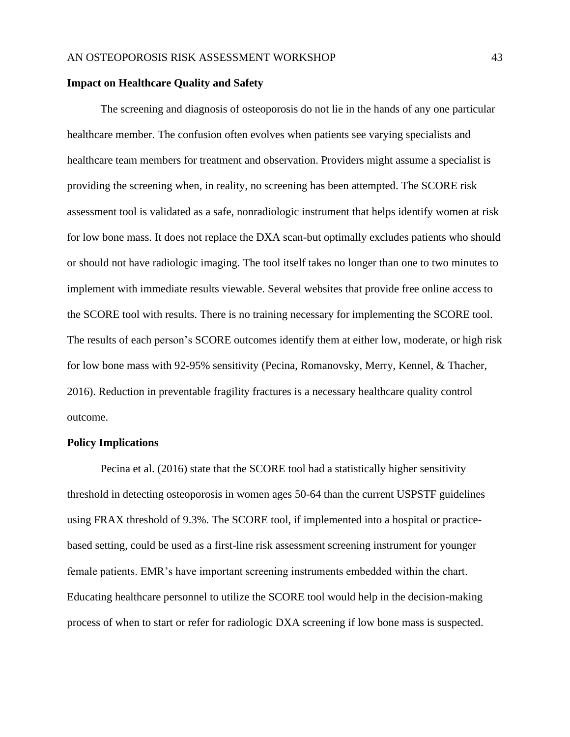## <span id="page-43-0"></span>**Impact on Healthcare Quality and Safety**

The screening and diagnosis of osteoporosis do not lie in the hands of any one particular healthcare member. The confusion often evolves when patients see varying specialists and healthcare team members for treatment and observation. Providers might assume a specialist is providing the screening when, in reality, no screening has been attempted. The SCORE risk assessment tool is validated as a safe, nonradiologic instrument that helps identify women at risk for low bone mass. It does not replace the DXA scan-but optimally excludes patients who should or should not have radiologic imaging. The tool itself takes no longer than one to two minutes to implement with immediate results viewable. Several websites that provide free online access to the SCORE tool with results. There is no training necessary for implementing the SCORE tool. The results of each person's SCORE outcomes identify them at either low, moderate, or high risk for low bone mass with 92-95% sensitivity (Pecina, Romanovsky, Merry, Kennel, & Thacher, 2016). Reduction in preventable fragility fractures is a necessary healthcare quality control outcome.

#### <span id="page-43-1"></span>**Policy Implications**

Pecina et al. (2016) state that the SCORE tool had a statistically higher sensitivity threshold in detecting osteoporosis in women ages 50-64 than the current USPSTF guidelines using FRAX threshold of 9.3%. The SCORE tool, if implemented into a hospital or practicebased setting, could be used as a first-line risk assessment screening instrument for younger female patients. EMR's have important screening instruments embedded within the chart. Educating healthcare personnel to utilize the SCORE tool would help in the decision-making process of when to start or refer for radiologic DXA screening if low bone mass is suspected.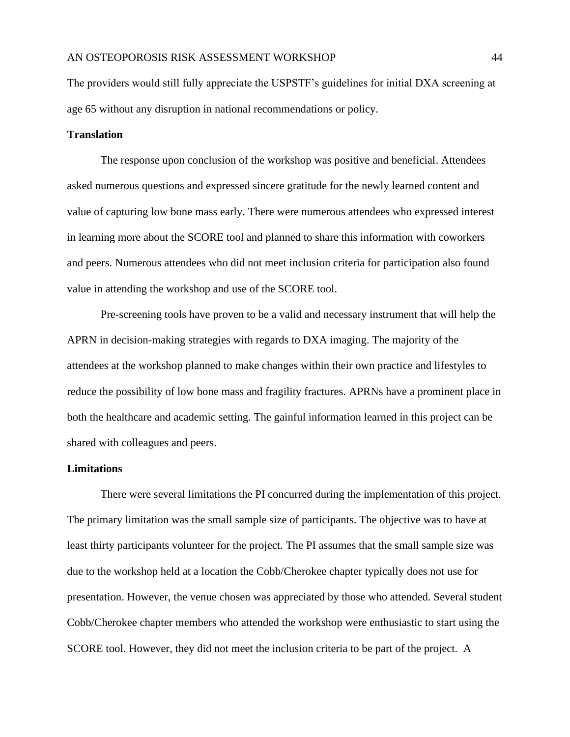The providers would still fully appreciate the USPSTF's guidelines for initial DXA screening at age 65 without any disruption in national recommendations or policy.

# <span id="page-44-0"></span>**Translation**

The response upon conclusion of the workshop was positive and beneficial. Attendees asked numerous questions and expressed sincere gratitude for the newly learned content and value of capturing low bone mass early. There were numerous attendees who expressed interest in learning more about the SCORE tool and planned to share this information with coworkers and peers. Numerous attendees who did not meet inclusion criteria for participation also found value in attending the workshop and use of the SCORE tool.

Pre-screening tools have proven to be a valid and necessary instrument that will help the APRN in decision-making strategies with regards to DXA imaging. The majority of the attendees at the workshop planned to make changes within their own practice and lifestyles to reduce the possibility of low bone mass and fragility fractures. APRNs have a prominent place in both the healthcare and academic setting. The gainful information learned in this project can be shared with colleagues and peers.

## <span id="page-44-1"></span>**Limitations**

There were several limitations the PI concurred during the implementation of this project. The primary limitation was the small sample size of participants. The objective was to have at least thirty participants volunteer for the project. The PI assumes that the small sample size was due to the workshop held at a location the Cobb/Cherokee chapter typically does not use for presentation. However, the venue chosen was appreciated by those who attended. Several student Cobb/Cherokee chapter members who attended the workshop were enthusiastic to start using the SCORE tool. However, they did not meet the inclusion criteria to be part of the project. A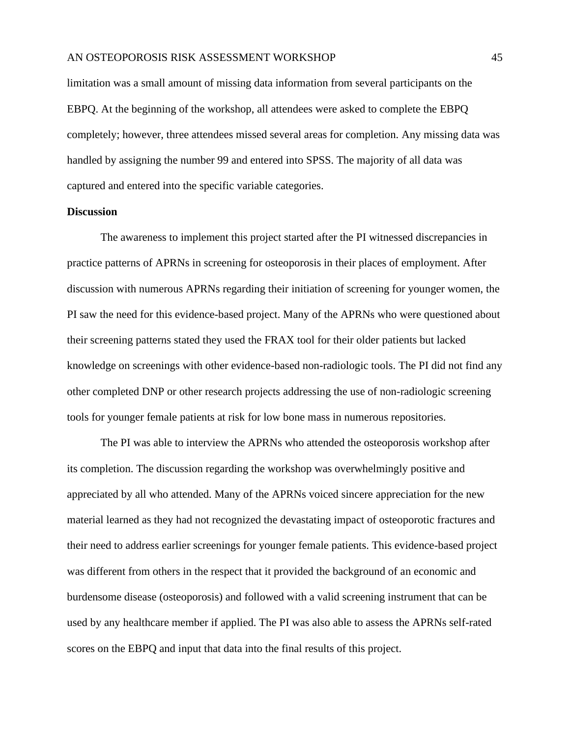limitation was a small amount of missing data information from several participants on the EBPQ. At the beginning of the workshop, all attendees were asked to complete the EBPQ completely; however, three attendees missed several areas for completion. Any missing data was handled by assigning the number 99 and entered into SPSS. The majority of all data was captured and entered into the specific variable categories.

#### <span id="page-45-0"></span>**Discussion**

The awareness to implement this project started after the PI witnessed discrepancies in practice patterns of APRNs in screening for osteoporosis in their places of employment. After discussion with numerous APRNs regarding their initiation of screening for younger women, the PI saw the need for this evidence-based project. Many of the APRNs who were questioned about their screening patterns stated they used the FRAX tool for their older patients but lacked knowledge on screenings with other evidence-based non-radiologic tools. The PI did not find any other completed DNP or other research projects addressing the use of non-radiologic screening tools for younger female patients at risk for low bone mass in numerous repositories.

The PI was able to interview the APRNs who attended the osteoporosis workshop after its completion. The discussion regarding the workshop was overwhelmingly positive and appreciated by all who attended. Many of the APRNs voiced sincere appreciation for the new material learned as they had not recognized the devastating impact of osteoporotic fractures and their need to address earlier screenings for younger female patients. This evidence-based project was different from others in the respect that it provided the background of an economic and burdensome disease (osteoporosis) and followed with a valid screening instrument that can be used by any healthcare member if applied. The PI was also able to assess the APRNs self-rated scores on the EBPQ and input that data into the final results of this project.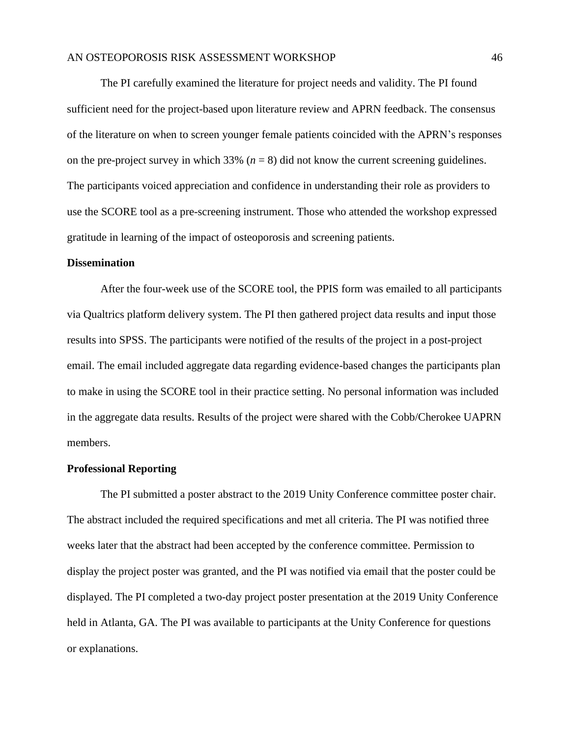The PI carefully examined the literature for project needs and validity. The PI found sufficient need for the project-based upon literature review and APRN feedback. The consensus of the literature on when to screen younger female patients coincided with the APRN's responses on the pre-project survey in which  $33\%$  ( $n = 8$ ) did not know the current screening guidelines. The participants voiced appreciation and confidence in understanding their role as providers to use the SCORE tool as a pre-screening instrument. Those who attended the workshop expressed gratitude in learning of the impact of osteoporosis and screening patients.

#### <span id="page-46-0"></span>**Dissemination**

After the four-week use of the SCORE tool, the PPIS form was emailed to all participants via Qualtrics platform delivery system. The PI then gathered project data results and input those results into SPSS. The participants were notified of the results of the project in a post-project email. The email included aggregate data regarding evidence-based changes the participants plan to make in using the SCORE tool in their practice setting. No personal information was included in the aggregate data results. Results of the project were shared with the Cobb/Cherokee UAPRN members.

#### <span id="page-46-1"></span>**Professional Reporting**

The PI submitted a poster abstract to the 2019 Unity Conference committee poster chair. The abstract included the required specifications and met all criteria. The PI was notified three weeks later that the abstract had been accepted by the conference committee. Permission to display the project poster was granted, and the PI was notified via email that the poster could be displayed. The PI completed a two-day project poster presentation at the 2019 Unity Conference held in Atlanta, GA. The PI was available to participants at the Unity Conference for questions or explanations.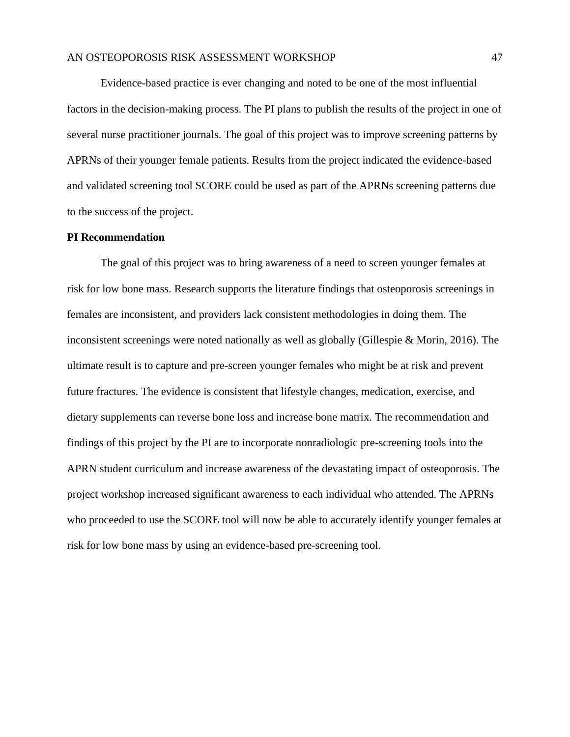Evidence-based practice is ever changing and noted to be one of the most influential factors in the decision-making process. The PI plans to publish the results of the project in one of several nurse practitioner journals. The goal of this project was to improve screening patterns by APRNs of their younger female patients. Results from the project indicated the evidence-based and validated screening tool SCORE could be used as part of the APRNs screening patterns due to the success of the project.

#### <span id="page-47-0"></span>**PI Recommendation**

The goal of this project was to bring awareness of a need to screen younger females at risk for low bone mass. Research supports the literature findings that osteoporosis screenings in females are inconsistent, and providers lack consistent methodologies in doing them. The inconsistent screenings were noted nationally as well as globally (Gillespie & Morin, 2016). The ultimate result is to capture and pre-screen younger females who might be at risk and prevent future fractures. The evidence is consistent that lifestyle changes, medication, exercise, and dietary supplements can reverse bone loss and increase bone matrix. The recommendation and findings of this project by the PI are to incorporate nonradiologic pre-screening tools into the APRN student curriculum and increase awareness of the devastating impact of osteoporosis. The project workshop increased significant awareness to each individual who attended. The APRNs who proceeded to use the SCORE tool will now be able to accurately identify younger females at risk for low bone mass by using an evidence-based pre-screening tool.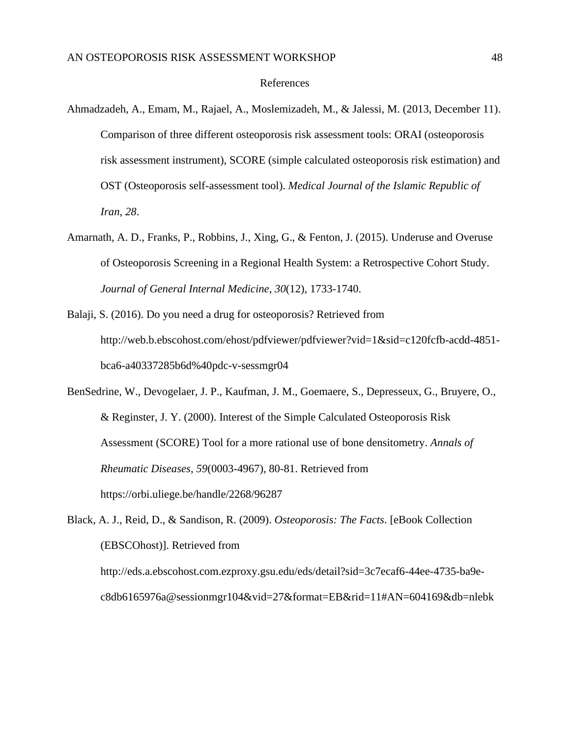#### References

- <span id="page-48-0"></span>Ahmadzadeh, A., Emam, M., Rajael, A., Moslemizadeh, M., & Jalessi, M. (2013, December 11). Comparison of three different osteoporosis risk assessment tools: ORAI (osteoporosis risk assessment instrument), SCORE (simple calculated osteoporosis risk estimation) and OST (Osteoporosis self-assessment tool). *Medical Journal of the Islamic Republic of Iran*, *28*.
- Amarnath, A. D., Franks, P., Robbins, J., Xing, G., & Fenton, J. (2015). Underuse and Overuse of Osteoporosis Screening in a Regional Health System: a Retrospective Cohort Study. *Journal of General Internal Medicine*, *30*(12), 1733-1740.
- Balaji, S. (2016). Do you need a drug for osteoporosis? Retrieved from http://web.b.ebscohost.com/ehost/pdfviewer/pdfviewer?vid=1&sid=c120fcfb-acdd-4851 bca6-a40337285b6d%40pdc-v-sessmgr04
- BenSedrine, W., Devogelaer, J. P., Kaufman, J. M., Goemaere, S., Depresseux, G., Bruyere, O., & Reginster, J. Y. (2000). Interest of the Simple Calculated Osteoporosis Risk Assessment (SCORE) Tool for a more rational use of bone densitometry. *Annals of Rheumatic Diseases*, *59*(0003-4967), 80-81. Retrieved from https://orbi.uliege.be/handle/2268/96287

Black, A. J., Reid, D., & Sandison, R. (2009). *Osteoporosis: The Facts*. [eBook Collection (EBSCOhost)]. Retrieved from http://eds.a.ebscohost.com.ezproxy.gsu.edu/eds/detail?sid=3c7ecaf6-44ee-4735-ba9ec8db6165976a@sessionmgr104&vid=27&format=EB&rid=11#AN=604169&db=nlebk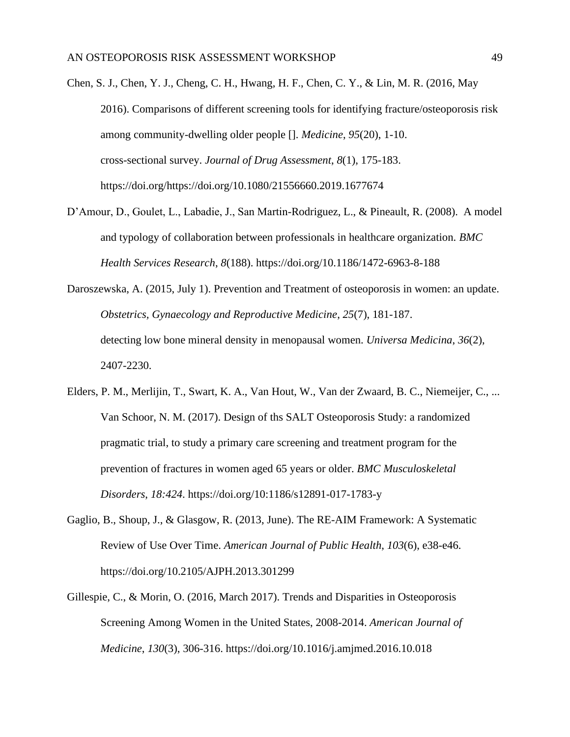- Chen, S. J., Chen, Y. J., Cheng, C. H., Hwang, H. F., Chen, C. Y., & Lin, M. R. (2016, May 2016). Comparisons of different screening tools for identifying fracture/osteoporosis risk among community-dwelling older people []. *Medicine*, *95*(20), 1-10. cross-sectional survey. *Journal of Drug Assessment*, *8*(1), 175-183. https://doi.org/https://doi.org/10.1080/21556660.2019.1677674
- D'Amour, D., Goulet, L., Labadie, J., San Martin-Rodriguez, L., & Pineault, R. (2008). A model and typology of collaboration between professionals in healthcare organization. *BMC Health Services Research*, *8*(188). https://doi.org/10.1186/1472-6963-8-188
- Daroszewska, A. (2015, July 1). Prevention and Treatment of osteoporosis in women: an update. *Obstetrics, Gynaecology and Reproductive Medicine*, *25*(7), 181-187. detecting low bone mineral density in menopausal women. *Universa Medicina*, *36*(2), 2407-2230.
- Elders, P. M., Merlijin, T., Swart, K. A., Van Hout, W., Van der Zwaard, B. C., Niemeijer, C., ... Van Schoor, N. M. (2017). Design of ths SALT Osteoporosis Study: a randomized pragmatic trial, to study a primary care screening and treatment program for the prevention of fractures in women aged 65 years or older. *BMC Musculoskeletal Disorders*, *18:424*. https://doi.org/10:1186/s12891-017-1783-y
- Gaglio, B., Shoup, J., & Glasgow, R. (2013, June). The RE-AIM Framework: A Systematic Review of Use Over Time. *American Journal of Public Health*, *103*(6), e38-e46. https://doi.org/10.2105/AJPH.2013.301299
- Gillespie, C., & Morin, O. (2016, March 2017). Trends and Disparities in Osteoporosis Screening Among Women in the United States, 2008-2014. *American Journal of Medicine*, *130*(3), 306-316. https://doi.org/10.1016/j.amjmed.2016.10.018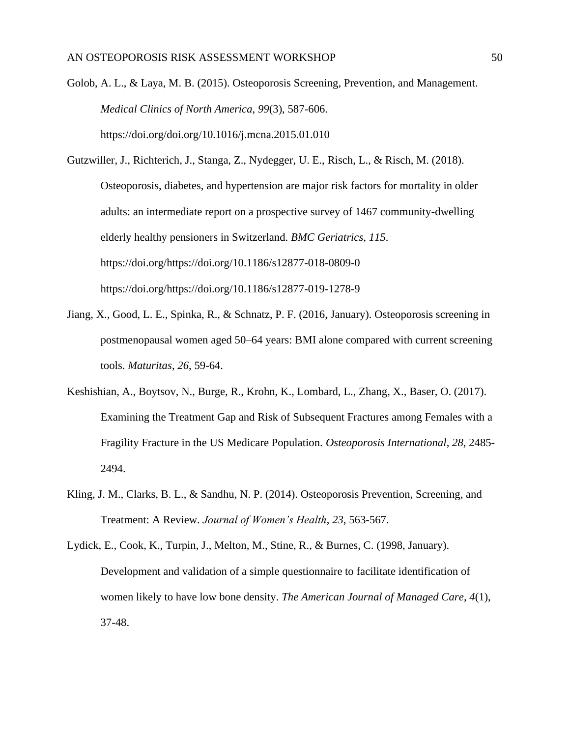Golob, A. L., & Laya, M. B. (2015). Osteoporosis Screening, Prevention, and Management. *Medical Clinics of North America*, *99*(3), 587-606. https://doi.org/doi.org/10.1016/j.mcna.2015.01.010

- Gutzwiller, J., Richterich, J., Stanga, Z., Nydegger, U. E., Risch, L., & Risch, M. (2018). Osteoporosis, diabetes, and hypertension are major risk factors for mortality in older adults: an intermediate report on a prospective survey of 1467 community-dwelling elderly healthy pensioners in Switzerland. *BMC Geriatrics*, *115*. https://doi.org/https://doi.org/10.1186/s12877-018-0809-0 https://doi.org/https://doi.org/10.1186/s12877-019-1278-9
- Jiang, X., Good, L. E., Spinka, R., & Schnatz, P. F. (2016, January). Osteoporosis screening in postmenopausal women aged 50–64 years: BMI alone compared with current screening tools. *Maturitas*, *26*, 59-64.
- Keshishian, A., Boytsov, N., Burge, R., Krohn, K., Lombard, L., Zhang, X., Baser, O. (2017). Examining the Treatment Gap and Risk of Subsequent Fractures among Females with a Fragility Fracture in the US Medicare Population. *Osteoporosis International*, *28*, 2485- 2494.
- Kling, J. M., Clarks, B. L., & Sandhu, N. P. (2014). Osteoporosis Prevention, Screening, and Treatment: A Review. *Journal of Women's Health*, *23*, 563-567.
- Lydick, E., Cook, K., Turpin, J., Melton, M., Stine, R., & Burnes, C. (1998, January). Development and validation of a simple questionnaire to facilitate identification of women likely to have low bone density. *The American Journal of Managed Care*, *4*(1), 37-48.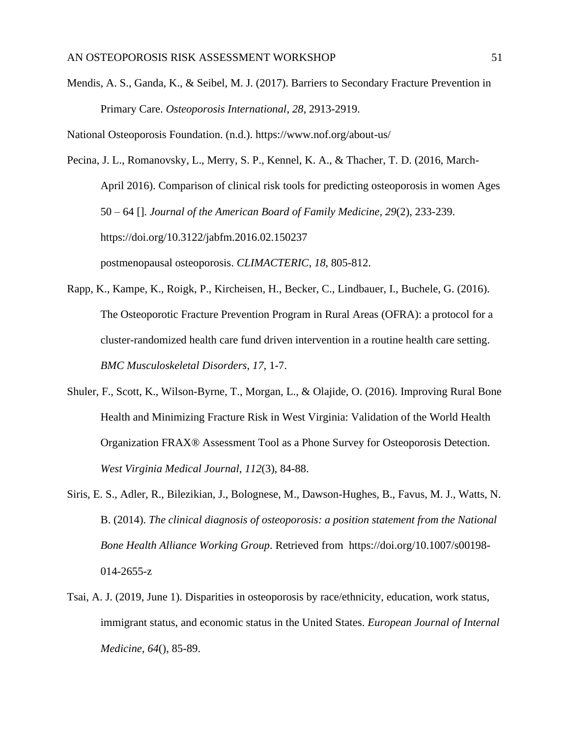Mendis, A. S., Ganda, K., & Seibel, M. J. (2017). Barriers to Secondary Fracture Prevention in Primary Care. *Osteoporosis International*, *28*, 2913-2919.

National Osteoporosis Foundation. (n.d.). https://www.nof.org/about-us/

Pecina, J. L., Romanovsky, L., Merry, S. P., Kennel, K. A., & Thacher, T. D. (2016, March-April 2016). Comparison of clinical risk tools for predicting osteoporosis in women Ages 50 – 64 []. *Journal of the American Board of Family Medicine*, *29*(2), 233-239. https://doi.org/10.3122/jabfm.2016.02.150237 postmenopausal osteoporosis. *CLIMACTERIC*, *18*, 805-812.

- Rapp, K., Kampe, K., Roigk, P., Kircheisen, H., Becker, C., Lindbauer, I., Buchele, G. (2016). The Osteoporotic Fracture Prevention Program in Rural Areas (OFRA): a protocol for a cluster-randomized health care fund driven intervention in a routine health care setting. *BMC Musculoskeletal Disorders*, *17*, 1-7.
- Shuler, F., Scott, K., Wilson-Byrne, T., Morgan, L., & Olajide, O. (2016). Improving Rural Bone Health and Minimizing Fracture Risk in West Virginia: Validation of the World Health Organization FRAX® Assessment Tool as a Phone Survey for Osteoporosis Detection. *West Virginia Medical Journal*, *112*(3), 84-88.
- Siris, E. S., Adler, R., Bilezikian, J., Bolognese, M., Dawson-Hughes, B., Favus, M. J., Watts, N. B. (2014). *The clinical diagnosis of osteoporosis: a position statement from the National Bone Health Alliance Working Group*. Retrieved from https://doi.org/10.1007/s00198- 014-2655-z
- Tsai, A. J. (2019, June 1). Disparities in osteoporosis by race/ethnicity, education, work status, immigrant status, and economic status in the United States. *European Journal of Internal Medicine*, *64*(), 85-89.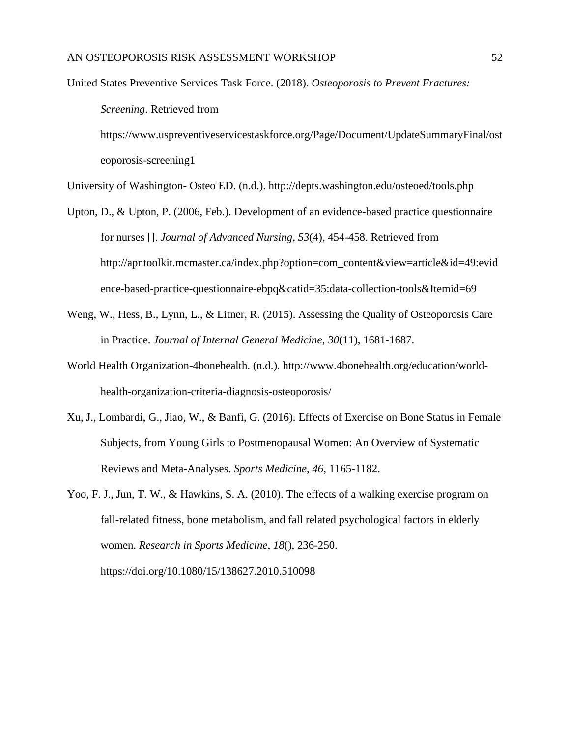United States Preventive Services Task Force. (2018). *Osteoporosis to Prevent Fractures: Screening*. Retrieved from https://www.uspreventiveservicestaskforce.org/Page/Document/UpdateSummaryFinal/ost eoporosis-screening1

University of Washington- Osteo ED. (n.d.). http://depts.washington.edu/osteoed/tools.php

- Upton, D., & Upton, P. (2006, Feb.). Development of an evidence-based practice questionnaire for nurses []. *Journal of Advanced Nursing*, *53*(4), 454-458. Retrieved from http://apntoolkit.mcmaster.ca/index.php?option=com\_content&view=article&id=49:evid ence-based-practice-questionnaire-ebpq&catid=35:data-collection-tools&Itemid=69
- Weng, W., Hess, B., Lynn, L., & Litner, R. (2015). Assessing the Quality of Osteoporosis Care in Practice. *Journal of Internal General Medicine*, *30*(11), 1681-1687.
- World Health Organization-4bonehealth. (n.d.). http://www.4bonehealth.org/education/worldhealth-organization-criteria-diagnosis-osteoporosis/
- Xu, J., Lombardi, G., Jiao, W., & Banfi, G. (2016). Effects of Exercise on Bone Status in Female Subjects, from Young Girls to Postmenopausal Women: An Overview of Systematic Reviews and Meta-Analyses. *Sports Medicine*, *46*, 1165-1182.
- Yoo, F. J., Jun, T. W., & Hawkins, S. A. (2010). The effects of a walking exercise program on fall-related fitness, bone metabolism, and fall related psychological factors in elderly women. *Research in Sports Medicine*, *18*(), 236-250.

https://doi.org/10.1080/15/138627.2010.510098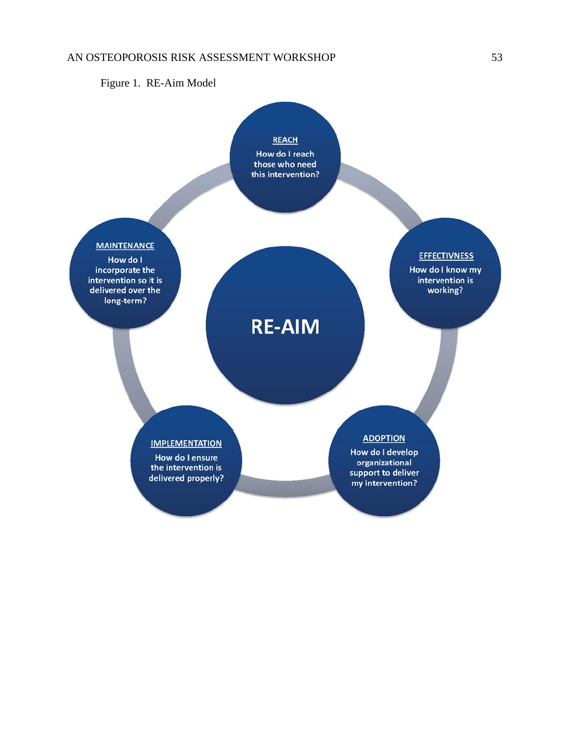<span id="page-53-0"></span>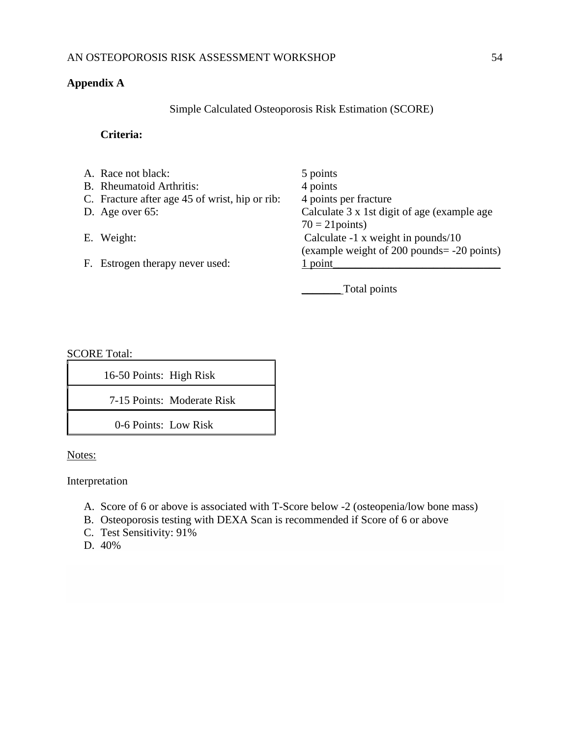# <span id="page-54-0"></span>**Appendix A**

Simple Calculated Osteoporosis Risk Estimation (SCORE)

# **Criteria:**

| A. Race not black:                             | 5 points                                     |
|------------------------------------------------|----------------------------------------------|
| B. Rheumatoid Arthritis:                       | 4 points                                     |
| C. Fracture after age 45 of wrist, hip or rib: | 4 points per fracture                        |
| D. Age over $65$ :                             | Calculate 3 x 1st digit of age (example age) |
|                                                | $70 = 21$ points)                            |
| E. Weight:                                     | Calculate $-1$ x weight in pounds/10         |
|                                                | (example weight of 200 pounds = -20 points)  |
| F. Estrogen therapy never used:                | 1 point                                      |
|                                                |                                              |
|                                                | Total points                                 |

SCORE Total:

| 16-50 Points: High Risk |                            |
|-------------------------|----------------------------|
|                         | 7-15 Points: Moderate Risk |
| 0-6 Points: Low Risk    |                            |

Notes:

Interpretation

- A. Score of 6 or above is associated with [T-Score](https://fpnotebook.com/Rheum/Rad/BnMnrlDnsty.htm) below -2 (osteopenia/low bone mass)
- B. [Osteoporosis](https://fpnotebook.com/Rheum/Bone/Ostprs.htm) testing with [DEXA Scan](https://fpnotebook.com/Rheum/Rad/DlEnrgyXryAbsrptmtry.htm) is recommended if Score of 6 or above
- C. [Test Sensitivity:](https://fpnotebook.com/Prevent/Epi/TstSnstvty.htm) 91%
- D. 40%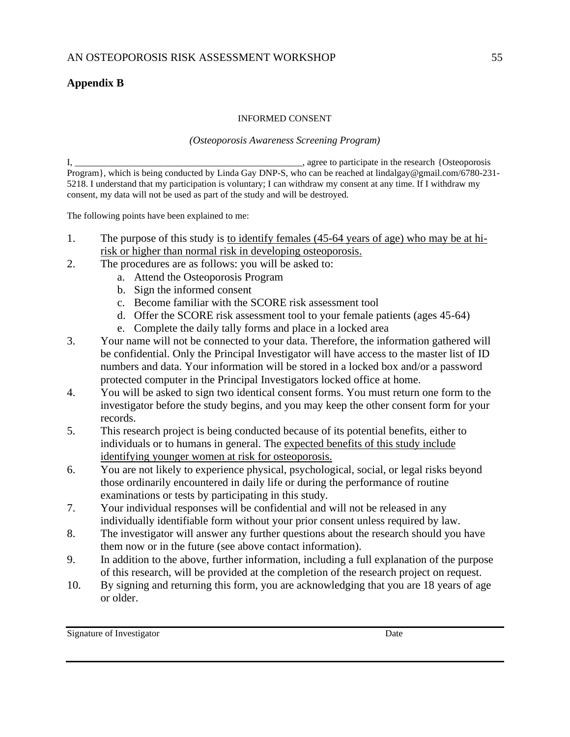# <span id="page-55-0"></span>**Appendix B**

#### INFORMED CONSENT

## *(Osteoporosis Awareness Screening Program)*

I, \_\_\_\_\_\_\_\_\_\_\_\_\_\_\_\_\_\_\_\_\_\_\_\_\_\_\_\_\_\_\_\_\_\_\_\_\_\_\_\_\_\_\_\_\_\_\_\_\_, agree to participate in the research {Osteoporosis Program}, which is being conducted by Linda Gay DNP-S, who can be reached at lindalgay@gmail.com/6780-231-5218. I understand that my participation is voluntary; I can withdraw my consent at any time. If I withdraw my consent, my data will not be used as part of the study and will be destroyed.

The following points have been explained to me:

- 1. The purpose of this study is to identify females (45-64 years of age) who may be at hirisk or higher than normal risk in developing osteoporosis.
- 2. The procedures are as follows: you will be asked to:
	- a. Attend the Osteoporosis Program
	- b. Sign the informed consent
	- c. Become familiar with the SCORE risk assessment tool
	- d. Offer the SCORE risk assessment tool to your female patients (ages 45-64)
	- e. Complete the daily tally forms and place in a locked area
- 3. Your name will not be connected to your data. Therefore, the information gathered will be confidential. Only the Principal Investigator will have access to the master list of ID numbers and data. Your information will be stored in a locked box and/or a password protected computer in the Principal Investigators locked office at home.
- 4. You will be asked to sign two identical consent forms. You must return one form to the investigator before the study begins, and you may keep the other consent form for your records.
- 5. This research project is being conducted because of its potential benefits, either to individuals or to humans in general. The expected benefits of this study include identifying younger women at risk for osteoporosis.
- 6. You are not likely to experience physical, psychological, social, or legal risks beyond those ordinarily encountered in daily life or during the performance of routine examinations or tests by participating in this study.
- 7. Your individual responses will be confidential and will not be released in any individually identifiable form without your prior consent unless required by law.
- 8. The investigator will answer any further questions about the research should you have them now or in the future (see above contact information).
- 9. In addition to the above, further information, including a full explanation of the purpose of this research, will be provided at the completion of the research project on request.
- 10. By signing and returning this form, you are acknowledging that you are 18 years of age or older.

Signature of Investigator Date Date and Signature of Investigator Date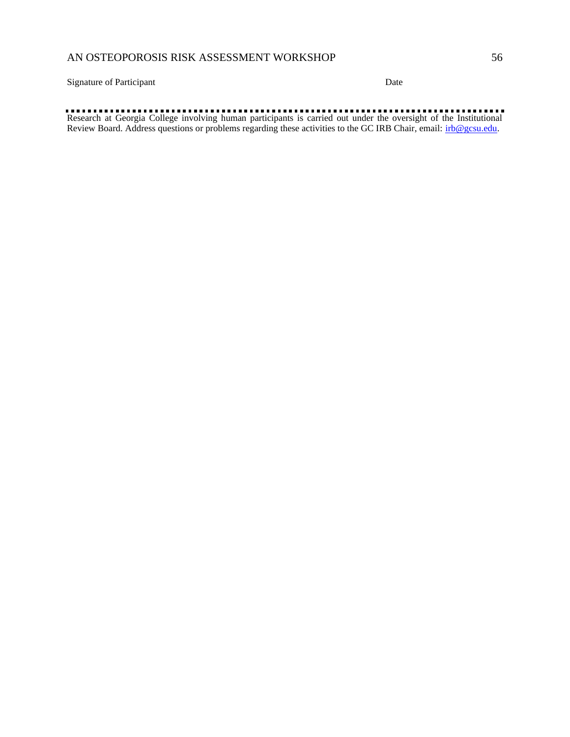Signature of Participant Date

Research at Georgia College involving human participants is carried out under the oversight of the Institutional Review Board. Address questions or problems regarding these activities to the GC IRB Chair, email: *irb@gcsu.edu.*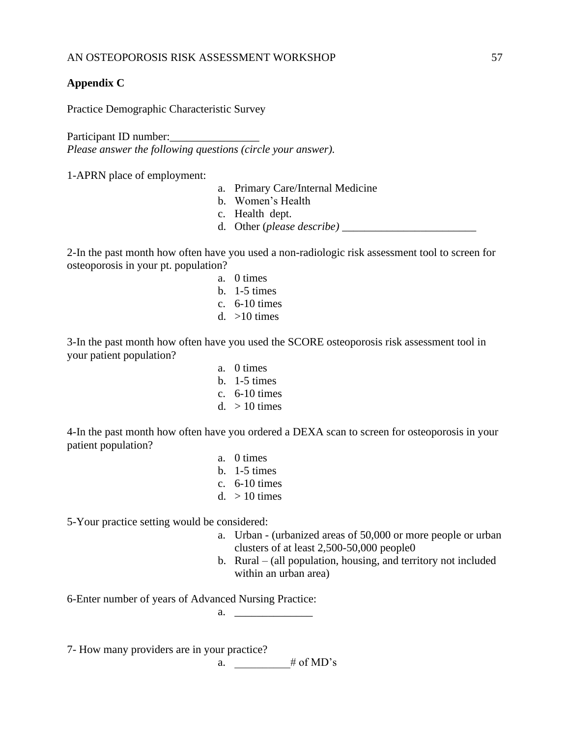# <span id="page-57-0"></span>**Appendix C**

Practice Demographic Characteristic Survey

Participant ID number: *Please answer the following questions (circle your answer).*

1-APRN place of employment:

- a. Primary Care/Internal Medicine
- b. Women's Health
- c. Health dept.
- d. Other (*please describe)* \_\_\_\_\_\_\_\_\_\_\_\_\_\_\_\_\_\_\_\_\_\_\_\_

2-In the past month how often have you used a non-radiologic risk assessment tool to screen for osteoporosis in your pt. population?

- a. 0 times
- b. 1-5 times
- c. 6-10 times
- d.  $>10$  times

3-In the past month how often have you used the SCORE osteoporosis risk assessment tool in your patient population?

> a. 0 times b. 1-5 times c. 6-10 times d.  $> 10$  times

4-In the past month how often have you ordered a DEXA scan to screen for osteoporosis in your patient population?

- a. 0 times
- b. 1-5 times
- c. 6-10 times
- d.  $> 10$  times

5-Your practice setting would be considered:

- a. Urban (urbanized areas of 50,000 or more people or urban clusters of at least 2,500-50,000 people0
- b. Rural (all population, housing, and territory not included within an urban area)

6-Enter number of years of Advanced Nursing Practice:

a. \_\_\_\_\_\_\_\_\_\_\_\_\_\_

7- How many providers are in your practice?

a.  $\qquad \qquad \# \text{ of MD's}$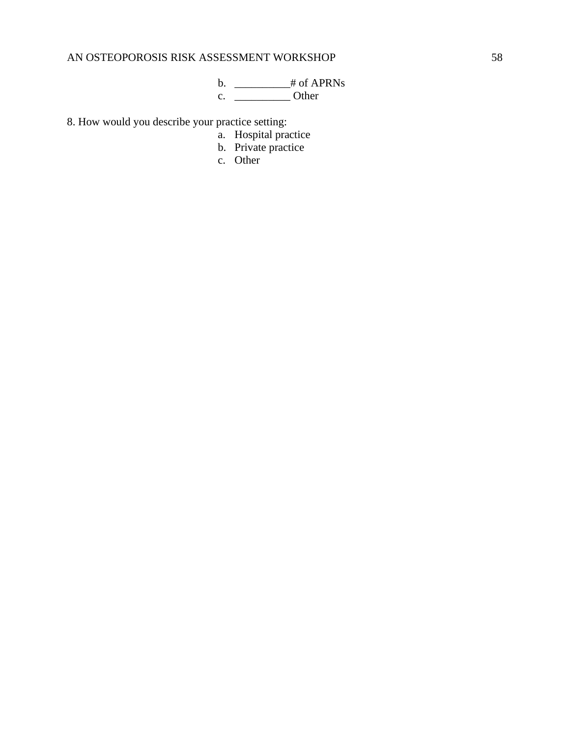b. \_\_\_\_\_\_\_\_\_\_\_\_\_\_# of APRNs c. \_\_\_\_\_\_\_\_\_\_ Other

8. How would you describe your practice setting:

- a. Hospital practice
- b. Private practice
- c. Other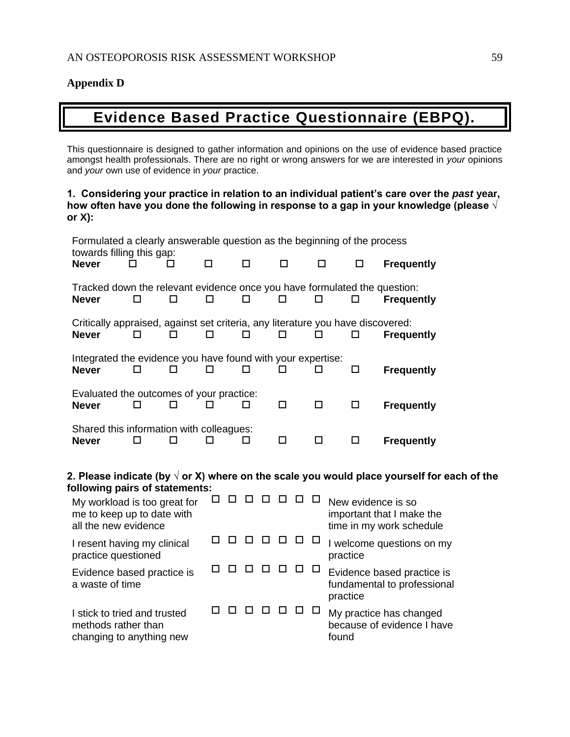# <span id="page-59-0"></span>**Appendix D**

# **Evidence Based Practice Questionnaire (EBPQ).**

This questionnaire is designed to gather information and opinions on the use of evidence based practice amongst health professionals. There are no right or wrong answers for we are interested in *your* opinions and *your* own use of evidence in *your* practice.

# **1. Considering your practice in relation to an individual patient's care over the** *past* **year, how often have you done the following in response to a gap in your knowledge (please √ or X):**

| Formulated a clearly answerable question as the beginning of the process<br>towards filling this gap:                              |    |    |    |    |   |  |    |    |        |                                                                                                           |  |  |  |  |
|------------------------------------------------------------------------------------------------------------------------------------|----|----|----|----|---|--|----|----|--------|-----------------------------------------------------------------------------------------------------------|--|--|--|--|
| <b>Never</b>                                                                                                                       |    |    | п  |    | п |  | п  |    | п      | <b>Frequently</b><br>П                                                                                    |  |  |  |  |
| <b>Never</b>                                                                                                                       | П  | ◘  | □  |    | п |  | ΙI |    | □      | Tracked down the relevant evidence once you have formulated the question:<br><b>Frequently</b><br>□       |  |  |  |  |
| <b>Never</b>                                                                                                                       | □  | п  | п  |    | п |  | п  |    | п      | Critically appraised, against set criteria, any literature you have discovered:<br><b>Frequently</b><br>п |  |  |  |  |
| Integrated the evidence you have found with your expertise:<br><b>Never</b>                                                        | п  | п  | п  |    | п |  | П  |    | п      | <b>Frequently</b><br>◻                                                                                    |  |  |  |  |
| Evaluated the outcomes of your practice:<br><b>Never</b>                                                                           | ΙI | П  |    |    | П |  | □  |    | $\Box$ | □<br><b>Frequently</b>                                                                                    |  |  |  |  |
| Shared this information with colleagues:<br><b>Never</b>                                                                           |    | ΙI |    |    | П |  | □  |    | $\Box$ | □<br><b>Frequently</b>                                                                                    |  |  |  |  |
| 2. Please indicate (by $\sqrt$ or X) where on the scale you would place yourself for each of the<br>following pairs of statements: |    |    |    |    |   |  |    |    |        |                                                                                                           |  |  |  |  |
| My workload is too great for<br>me to keep up to date with<br>all the new evidence                                                 |    |    | ΙI |    |   |  |    |    | ⊔      | New evidence is so<br>important that I make the<br>time in my work schedule                               |  |  |  |  |
| I resent having my clinical<br>practice questioned                                                                                 |    |    |    |    |   |  |    | □  | $\Box$ | I welcome questions on my<br>practice                                                                     |  |  |  |  |
| Evidence based practice is<br>a waste of time                                                                                      |    |    |    |    |   |  |    |    |        | Evidence based practice is<br>fundamental to professional<br>practice                                     |  |  |  |  |
| I stick to tried and trusted<br>methods rather than<br>changing to anything new                                                    |    |    |    | ΙI |   |  |    | ΙI |        | My practice has changed<br>because of evidence I have<br>found                                            |  |  |  |  |
|                                                                                                                                    |    |    |    |    |   |  |    |    |        |                                                                                                           |  |  |  |  |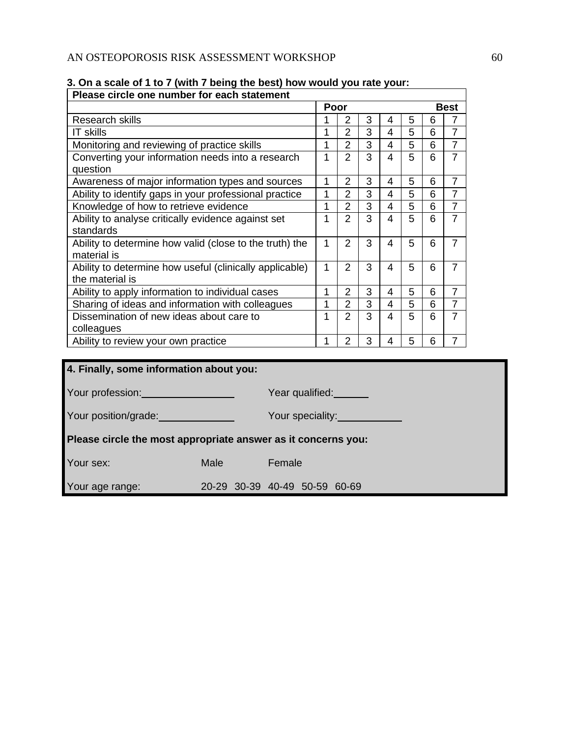| 1                |                |                                  |                                                                                                                           |                |             | <b>Best</b>    |  |  |  |
|------------------|----------------|----------------------------------|---------------------------------------------------------------------------------------------------------------------------|----------------|-------------|----------------|--|--|--|
|                  |                |                                  | Poor                                                                                                                      |                |             |                |  |  |  |
|                  | $\overline{2}$ | 3                                | 4                                                                                                                         | 5              | 6           | 7              |  |  |  |
| 1                | $\overline{2}$ | 3                                | $\overline{\mathcal{A}}$                                                                                                  | 5              | 6           | $\overline{7}$ |  |  |  |
| $\overline{1}$   | $\overline{2}$ | $\overline{3}$                   | $\overline{4}$                                                                                                            | $\overline{5}$ | 6           | $\overline{7}$ |  |  |  |
|                  |                |                                  |                                                                                                                           |                |             | $\overline{7}$ |  |  |  |
| $\mathbf{1}$     | 2              | 3                                | 4                                                                                                                         | 5              | 6           | $\overline{7}$ |  |  |  |
| 1                |                |                                  | $\overline{4}$                                                                                                            |                |             | $\overline{7}$ |  |  |  |
| $\mathbf 1$      | $\overline{2}$ | 3                                | $\overline{\mathbf{4}}$                                                                                                   |                | 6           | $\overline{7}$ |  |  |  |
| $\mathbf{1}$     | $\overline{2}$ |                                  | $\overline{4}$                                                                                                            | 5              | 6           | $\overline{7}$ |  |  |  |
| $\mathbf{1}$     | 2              | 3                                | 4                                                                                                                         | 5              | 6           | $\overline{7}$ |  |  |  |
| $\mathbf{1}$     | $\overline{2}$ | 3                                | $\overline{4}$                                                                                                            | 5              | 6           | $\overline{7}$ |  |  |  |
| $\mathbf{1}$     | 2              | 3                                | 4                                                                                                                         | 5              | 6           | $\overline{7}$ |  |  |  |
| $\mathbf{1}$     | $\overline{2}$ | $\overline{3}$                   | $\overline{4}$                                                                                                            | $\overline{5}$ | 6           | $\overline{7}$ |  |  |  |
| $\mathbf{1}$     | $\overline{2}$ | 3                                | 4                                                                                                                         | 5              | 6           | $\overline{7}$ |  |  |  |
| $\mathbf 1$      | $\overline{2}$ | 3                                | 4                                                                                                                         | 5              | 6           | $\overline{7}$ |  |  |  |
|                  |                |                                  |                                                                                                                           |                |             |                |  |  |  |
|                  |                |                                  |                                                                                                                           |                |             |                |  |  |  |
| Your speciality: |                |                                  |                                                                                                                           |                |             |                |  |  |  |
|                  |                |                                  |                                                                                                                           |                |             |                |  |  |  |
|                  |                |                                  |                                                                                                                           |                |             |                |  |  |  |
|                  | $\overline{1}$ | $\overline{2}$<br>$\overline{2}$ | $\overline{3}$<br>$\overline{3}$<br>3<br>Year qualified:<br>Please circle the most appropriate answer as it concerns you: | $\overline{4}$ | 5<br>5<br>5 | 6<br>6         |  |  |  |

Your age range: 20-29 30-39 40-49 50-59 60-69

# **3. On a scale of 1 to 7 (with 7 being the best) how would you rate your:**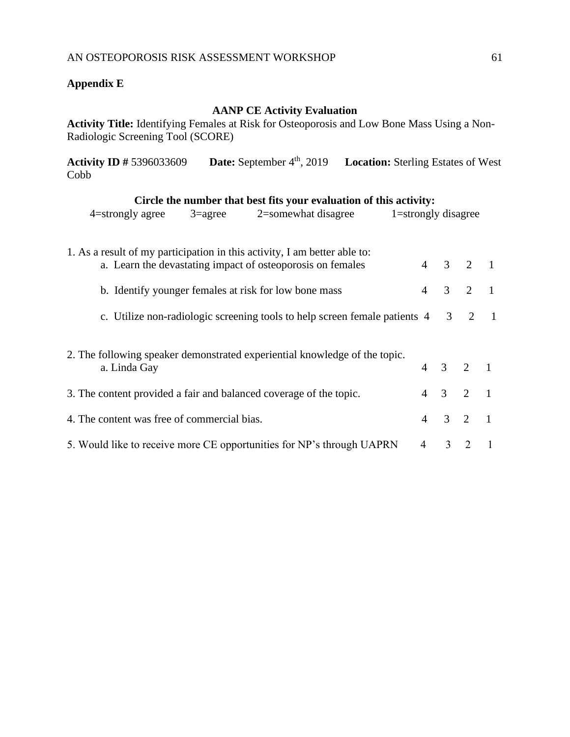# <span id="page-61-0"></span>**Appendix E**

# **AANP CE Activity Evaluation**

**Activity Title:** Identifying Females at Risk for Osteoporosis and Low Bone Mass Using a Non-Radiologic Screening Tool (SCORE)

**Activity ID #** 5396033609 **Date:** September 4th, 2019 **Location:** Sterling Estates of West Cobb

| Circle the number that best fits your evaluation of this activity:                                                                                                                               |                                  |                |                                  |                                  |
|--------------------------------------------------------------------------------------------------------------------------------------------------------------------------------------------------|----------------------------------|----------------|----------------------------------|----------------------------------|
| $3 = \text{agree}$<br>2=somewhat disagree<br>$4$ =strongly agree                                                                                                                                 |                                  |                | 1=strongly disagree              |                                  |
| 1. As a result of my participation in this activity, I am better able to:<br>a. Learn the devastating impact of osteoporosis on females<br>b. Identify younger females at risk for low bone mass | $\overline{4}$<br>$\overline{4}$ | 3<br>3         | $\overline{2}$<br>$\overline{2}$ | $\blacksquare$<br>$\blacksquare$ |
| c. Utilize non-radiologic screening tools to help screen female patients 4                                                                                                                       |                                  | 3 <sup>7</sup> | 2                                | $\blacksquare$                   |
| 2. The following speaker demonstrated experiential knowledge of the topic.<br>a. Linda Gay                                                                                                       | $\overline{4}$                   | $3 \quad 2$    |                                  | $\overline{1}$                   |
| 3. The content provided a fair and balanced coverage of the topic.                                                                                                                               | $\overline{4}$                   | $3 \quad 2$    |                                  | $\blacksquare$                   |
| 4. The content was free of commercial bias.                                                                                                                                                      | $\overline{4}$                   | $3 \quad 2$    |                                  | $\blacksquare$                   |
| 5. Would like to receive more CE opportunities for NP's through UAPRN                                                                                                                            | 4                                | 3              | 2                                |                                  |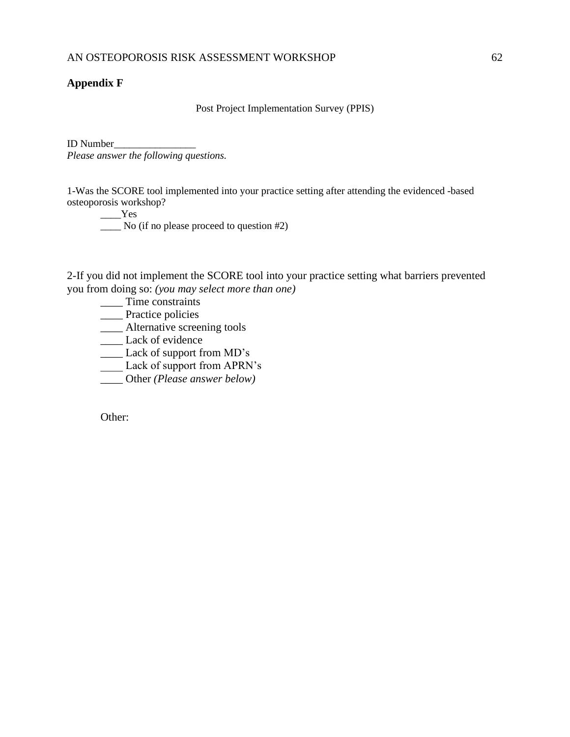# <span id="page-62-0"></span>**Appendix F**

Post Project Implementation Survey (PPIS)

ID Number\_\_\_\_\_\_\_\_\_\_\_\_\_\_\_\_ *Please answer the following questions.*

1-Was the SCORE tool implemented into your practice setting after attending the evidenced -based osteoporosis workshop?

\_\_\_\_Yes

\_\_\_\_ No (if no please proceed to question #2)

2-If you did not implement the SCORE tool into your practice setting what barriers prevented you from doing so: *(you may select more than one)*

- $\frac{1}{2}$  Time constraints
- \_\_\_\_ Practice policies
- \_\_\_\_ Alternative screening tools
- \_\_\_\_ Lack of evidence
- \_\_\_\_ Lack of support from MD's
- Lack of support from APRN's
- \_\_\_\_ Other *(Please answer below)*

Other: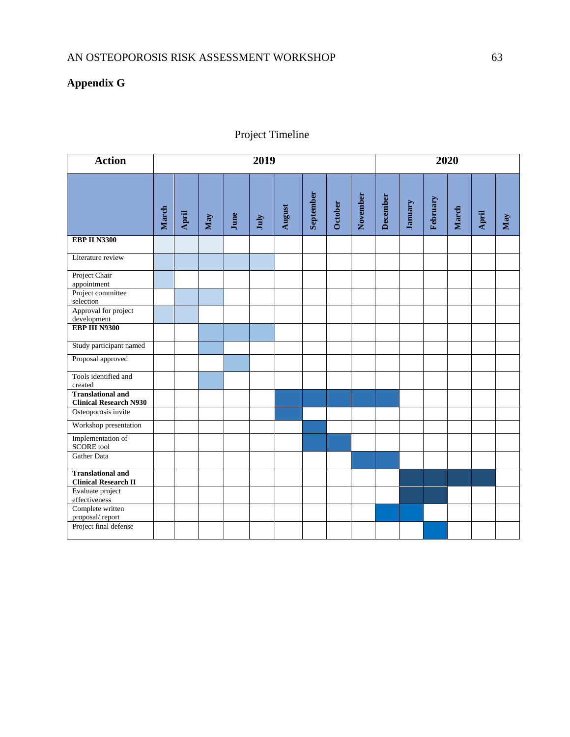# <span id="page-63-0"></span>**Appendix G**

# Project Timeline

| <b>Action</b>                                                    | 2019  |                                           |                         |      |      |        |           |         |          |          | 2020    |          |       |       |     |  |  |
|------------------------------------------------------------------|-------|-------------------------------------------|-------------------------|------|------|--------|-----------|---------|----------|----------|---------|----------|-------|-------|-----|--|--|
|                                                                  | March | $\begin{tabular}{c} A pril \end{tabular}$ | $\overline{\text{May}}$ | June | July | August | September | October | November | December | January | February | March | April | May |  |  |
| <b>EBP II N3300</b>                                              |       |                                           |                         |      |      |        |           |         |          |          |         |          |       |       |     |  |  |
| Literature review                                                |       |                                           |                         |      |      |        |           |         |          |          |         |          |       |       |     |  |  |
| Project Chair<br>appointment                                     |       |                                           |                         |      |      |        |           |         |          |          |         |          |       |       |     |  |  |
| Project committee<br>selection                                   |       |                                           |                         |      |      |        |           |         |          |          |         |          |       |       |     |  |  |
| Approval for project<br>development                              |       |                                           |                         |      |      |        |           |         |          |          |         |          |       |       |     |  |  |
| EBP III N9300                                                    |       |                                           |                         |      |      |        |           |         |          |          |         |          |       |       |     |  |  |
| Study participant named                                          |       |                                           |                         |      |      |        |           |         |          |          |         |          |       |       |     |  |  |
| Proposal approved                                                |       |                                           |                         |      |      |        |           |         |          |          |         |          |       |       |     |  |  |
| Tools identified and<br>created                                  |       |                                           |                         |      |      |        |           |         |          |          |         |          |       |       |     |  |  |
| <b>Translational and</b><br><b>Clinical Research N930</b>        |       |                                           |                         |      |      |        |           |         |          |          |         |          |       |       |     |  |  |
| Osteoporosis invite                                              |       |                                           |                         |      |      |        |           |         |          |          |         |          |       |       |     |  |  |
| Workshop presentation                                            |       |                                           |                         |      |      |        |           |         |          |          |         |          |       |       |     |  |  |
| Implementation of<br><b>SCORE</b> tool                           |       |                                           |                         |      |      |        |           |         |          |          |         |          |       |       |     |  |  |
| Gather Data                                                      |       |                                           |                         |      |      |        |           |         |          |          |         |          |       |       |     |  |  |
| <b>Translational and</b>                                         |       |                                           |                         |      |      |        |           |         |          |          |         |          |       |       |     |  |  |
| <b>Clinical Research II</b><br>Evaluate project<br>effectiveness |       |                                           |                         |      |      |        |           |         |          |          |         |          |       |       |     |  |  |
| Complete written<br>proposal/.report                             |       |                                           |                         |      |      |        |           |         |          |          |         |          |       |       |     |  |  |
| Project final defense                                            |       |                                           |                         |      |      |        |           |         |          |          |         |          |       |       |     |  |  |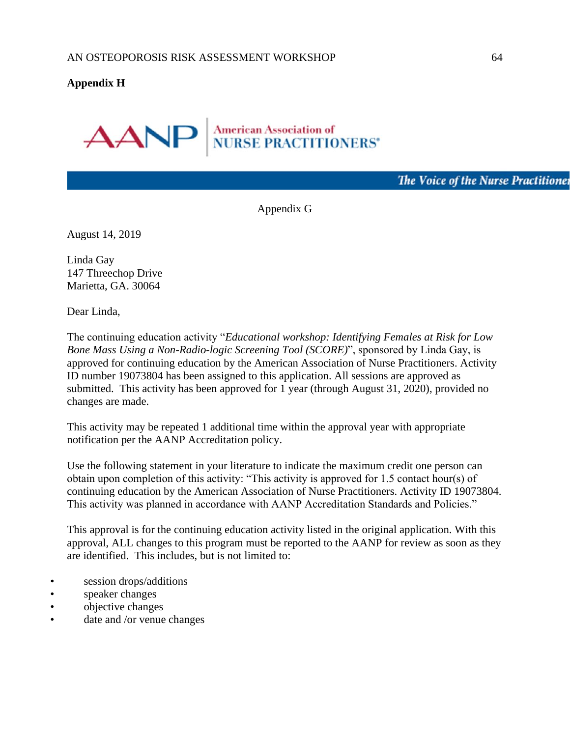# <span id="page-64-0"></span>**Appendix H**



The Voice of the Nurse Practitioner

Appendix G

August 14, 2019

Linda Gay 147 Threechop Drive Marietta, GA. 30064

Dear Linda,

The continuing education activity "*Educational workshop: Identifying Females at Risk for Low Bone Mass Using a Non-Radio-logic Screening Tool (SCORE)*", sponsored by Linda Gay, is approved for continuing education by the American Association of Nurse Practitioners. Activity ID number 19073804 has been assigned to this application. All sessions are approved as submitted. This activity has been approved for 1 year (through August 31, 2020), provided no changes are made.

This activity may be repeated 1 additional time within the approval year with appropriate notification per the AANP Accreditation policy.

Use the following statement in your literature to indicate the maximum credit one person can obtain upon completion of this activity: "This activity is approved for 1.5 contact hour(s) of continuing education by the American Association of Nurse Practitioners. Activity ID 19073804. This activity was planned in accordance with AANP Accreditation Standards and Policies."

This approval is for the continuing education activity listed in the original application. With this approval, ALL changes to this program must be reported to the AANP for review as soon as they are identified. This includes, but is not limited to:

- session drops/additions
- speaker changes
- objective changes
- date and /or venue changes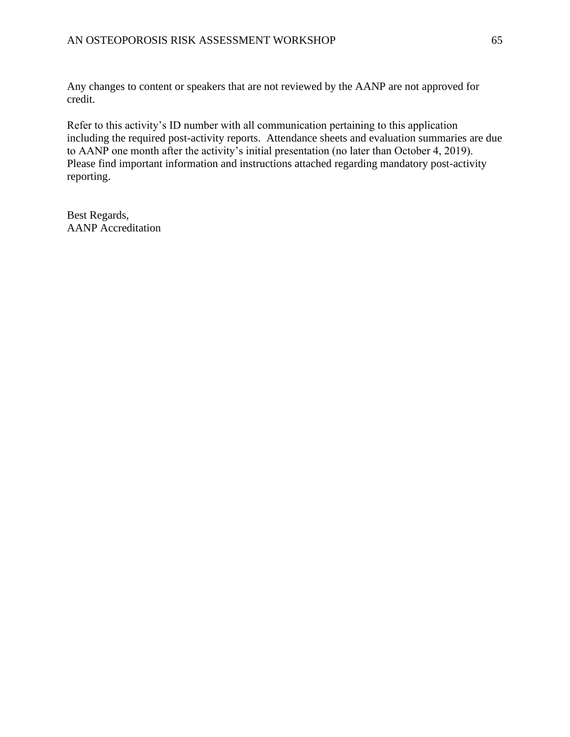Any changes to content or speakers that are not reviewed by the AANP are not approved for credit.

Refer to this activity's ID number with all communication pertaining to this application including the required post-activity reports. Attendance sheets and evaluation summaries are due to AANP one month after the activity's initial presentation (no later than October 4, 2019). Please find important information and instructions attached regarding mandatory post-activity reporting.

Best Regards, AANP Accreditation